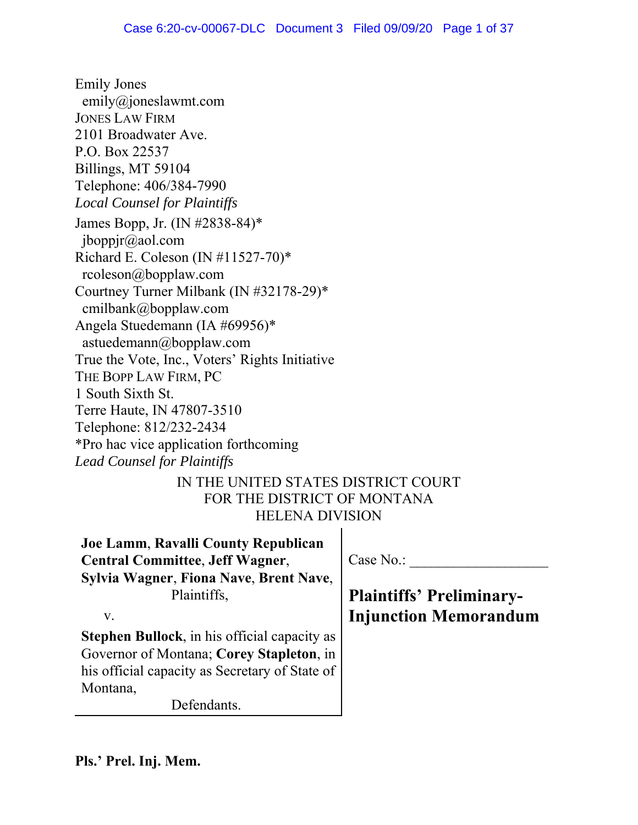Emily Jones emily@joneslawmt.com JONES LAW FIRM 2101 Broadwater Ave. P.O. Box 22537 Billings, MT 59104 Telephone: 406/384-7990 *Local Counsel for Plaintiffs* James Bopp, Jr. (IN #2838-84)\* jboppjr@aol.com Richard E. Coleson (IN #11527-70)\* rcoleson@bopplaw.com Courtney Turner Milbank (IN #32178-29)\* cmilbank@bopplaw.com Angela Stuedemann (IA #69956)\* astuedemann@bopplaw.com True the Vote, Inc., Voters' Rights Initiative THE BOPP LAW FIRM, PC 1 South Sixth St. Terre Haute, IN 47807-3510 Telephone: 812/232-2434 \*Pro hac vice application forthcoming *Lead Counsel for Plaintiffs*

IN THE UNITED STATES DISTRICT COURT FOR THE DISTRICT OF MONTANA HELENA DIVISION

**Joe Lamm**, **Ravalli County Republican Central Committee**, **Jeff Wagner**, **Sylvia Wagner**, **Fiona Nave**, **Brent Nave**, Plaintiffs,

v.

**Stephen Bullock**, in his official capacity as Governor of Montana; **Corey Stapleton**, in his official capacity as Secretary of State of Montana,

Defendants.

Case No.:

**Plaintiffs' Preliminary-Injunction Memorandum**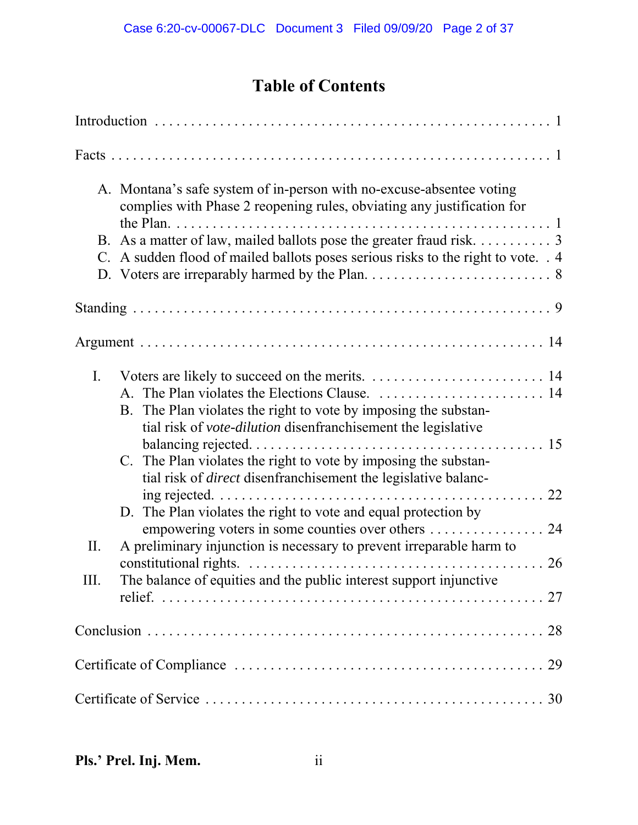# **Table of Contents**

|      | A. Montana's safe system of in-person with no-excuse-absentee voting<br>complies with Phase 2 reopening rules, obviating any justification for                                                            |
|------|-----------------------------------------------------------------------------------------------------------------------------------------------------------------------------------------------------------|
|      | B. As a matter of law, mailed ballots pose the greater fraud risk. 3                                                                                                                                      |
|      | C. A sudden flood of mailed ballots poses serious risks to the right to vote. . 4                                                                                                                         |
|      |                                                                                                                                                                                                           |
|      |                                                                                                                                                                                                           |
| I.   | B. The Plan violates the right to vote by imposing the substan-                                                                                                                                           |
|      | tial risk of vote-dilution disenfranchisement the legislative<br>C. The Plan violates the right to vote by imposing the substan-<br>tial risk of <i>direct</i> disenfranchisement the legislative balanc- |
|      | D. The Plan violates the right to vote and equal protection by                                                                                                                                            |
| П.   | empowering voters in some counties over others<br>24<br>A preliminary injunction is necessary to prevent irreparable harm to                                                                              |
| III. | The balance of equities and the public interest support injunctive                                                                                                                                        |
|      |                                                                                                                                                                                                           |
|      |                                                                                                                                                                                                           |
|      |                                                                                                                                                                                                           |
|      |                                                                                                                                                                                                           |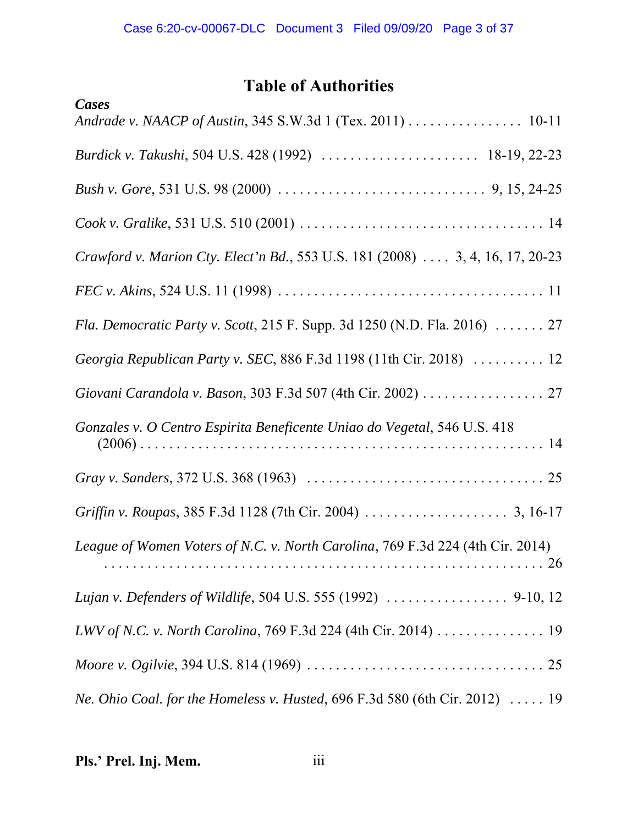# **Table of Authorities**

| Cases                                                                          |
|--------------------------------------------------------------------------------|
| Andrade v. NAACP of Austin, 345 S.W.3d 1 (Tex. 2011) 10-11                     |
|                                                                                |
|                                                                                |
|                                                                                |
| Crawford v. Marion Cty. Elect'n Bd., 553 U.S. 181 (2008)  3, 4, 16, 17, 20-23  |
|                                                                                |
| Fla. Democratic Party v. Scott, 215 F. Supp. 3d 1250 (N.D. Fla. 2016)  27      |
| Georgia Republican Party v. SEC, 886 F.3d 1198 (11th Cir. 2018)  12            |
| Giovani Carandola v. Bason, 303 F.3d 507 (4th Cir. 2002) 27                    |
| Gonzales v. O Centro Espirita Beneficente Uniao do Vegetal, 546 U.S. 418       |
|                                                                                |
|                                                                                |
| League of Women Voters of N.C. v. North Carolina, 769 F.3d 224 (4th Cir. 2014) |
|                                                                                |
|                                                                                |
|                                                                                |
| Ne. Ohio Coal. for the Homeless v. Husted, 696 F.3d 580 (6th Cir. 2012)  19    |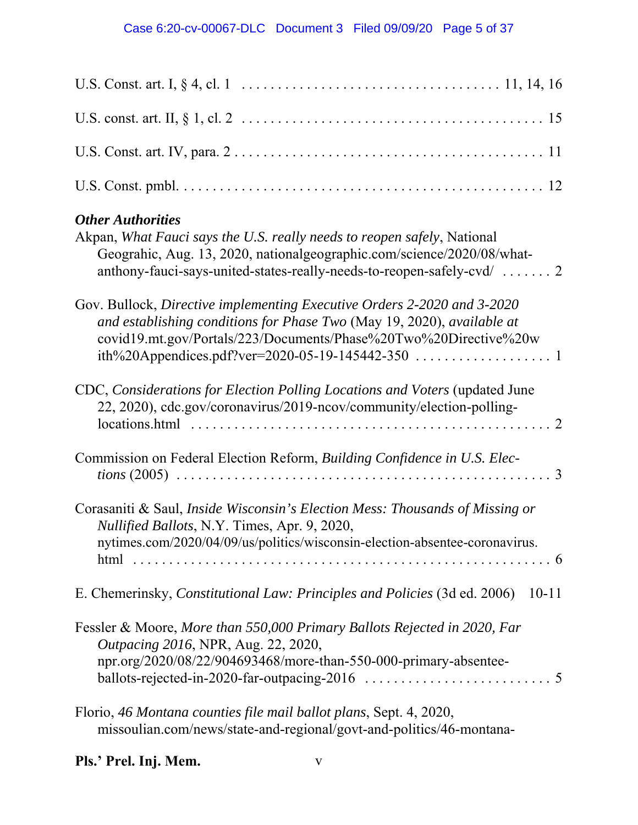| <b>Other Authorities</b><br>Akpan, What Fauci says the U.S. really needs to reopen safely, National<br>Geograhic, Aug. 13, 2020, nationalgeographic.com/science/2020/08/what-<br>anthony-fauci-says-united-states-really-needs-to-reopen-safely-cvd/  2 |
|---------------------------------------------------------------------------------------------------------------------------------------------------------------------------------------------------------------------------------------------------------|
| Gov. Bullock, Directive implementing Executive Orders 2-2020 and 3-2020<br>and establishing conditions for Phase Two (May 19, 2020), available at<br>covid19.mt.gov/Portals/223/Documents/Phase%20Two%20Directive%20w                                   |
| CDC, Considerations for Election Polling Locations and Voters (updated June<br>22, 2020), cdc.gov/coronavirus/2019-ncov/community/election-polling-                                                                                                     |
| Commission on Federal Election Reform, Building Confidence in U.S. Elec-                                                                                                                                                                                |
| Corasaniti & Saul, Inside Wisconsin's Election Mess: Thousands of Missing or<br>Nullified Ballots, N.Y. Times, Apr. 9, 2020,<br>nytimes.com/2020/04/09/us/politics/wisconsin-election-absentee-coronavirus.                                             |
| E. Chemerinsky, <i>Constitutional Law: Principles and Policies</i> (3d ed. 2006)<br>$10 - 11$                                                                                                                                                           |
| Fessler & Moore, More than 550,000 Primary Ballots Rejected in 2020, Far<br>Outpacing 2016, NPR, Aug. 22, 2020,<br>npr.org/2020/08/22/904693468/more-than-550-000-primary-absentee-                                                                     |
| Florio, 46 Montana counties file mail ballot plans, Sept. 4, 2020,<br>missoulian.com/news/state-and-regional/govt-and-politics/46-montana-                                                                                                              |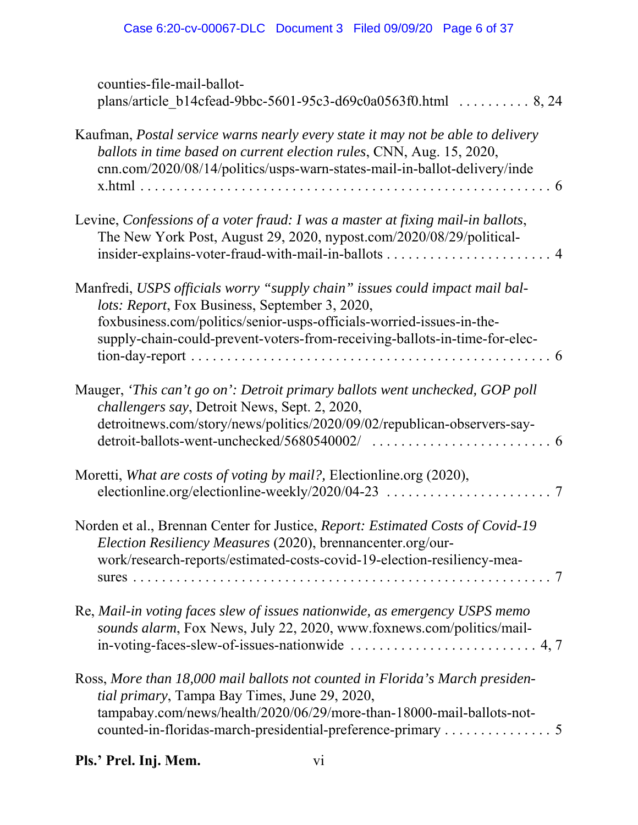| counties-file-mail-ballot-<br>plans/article_b14cfead-9bbc-5601-95c3-d69c0a0563f0.html  8, 24                                                                                                                                                                                         |
|--------------------------------------------------------------------------------------------------------------------------------------------------------------------------------------------------------------------------------------------------------------------------------------|
| Kaufman, <i>Postal service warns nearly every state it may not be able to delivery</i><br>ballots in time based on current election rules, CNN, Aug. 15, 2020,<br>cnn.com/2020/08/14/politics/usps-warn-states-mail-in-ballot-delivery/inde                                          |
| Levine, Confessions of a voter fraud: I was a master at fixing mail-in ballots,<br>The New York Post, August 29, 2020, nypost.com/2020/08/29/political-                                                                                                                              |
| Manfredi, USPS officials worry "supply chain" issues could impact mail bal-<br>lots: Report, Fox Business, September 3, 2020,<br>foxbusiness.com/politics/senior-usps-officials-worried-issues-in-the-<br>supply-chain-could-prevent-voters-from-receiving-ballots-in-time-for-elec- |
| Mauger, 'This can't go on': Detroit primary ballots went unchecked, GOP poll<br>challengers say, Detroit News, Sept. 2, 2020,<br>detroitnews.com/story/news/politics/2020/09/02/republican-observers-say-                                                                            |
| Moretti, What are costs of voting by mail?, Electionline.org (2020),                                                                                                                                                                                                                 |
| Norden et al., Brennan Center for Justice, Report: Estimated Costs of Covid-19<br>Election Resiliency Measures (2020), brennancenter.org/our-<br>work/research-reports/estimated-costs-covid-19-election-resiliency-mea-                                                             |
| Re, Mail-in voting faces slew of issues nationwide, as emergency USPS memo<br>sounds alarm, Fox News, July 22, 2020, www.foxnews.com/politics/mail-<br>in-voting-faces-slew-of-issues-nationwide $\dots \dots \dots \dots \dots \dots \dots \dots \dots$ 4, 7                        |
| Ross, More than 18,000 mail ballots not counted in Florida's March presiden-<br>tial primary, Tampa Bay Times, June 29, 2020,<br>tampabay.com/news/health/2020/06/29/more-than-18000-mail-ballots-not-                                                                               |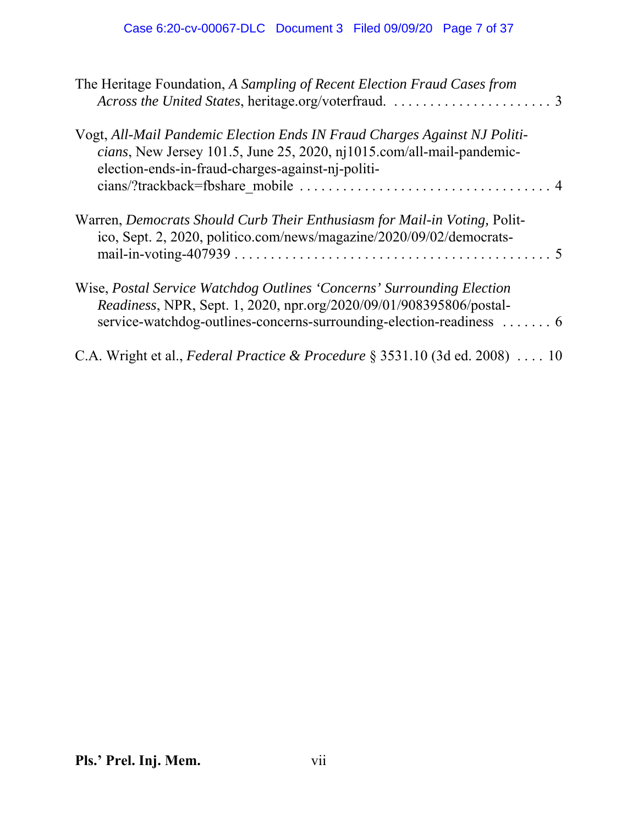| The Heritage Foundation, A Sampling of Recent Election Fraud Cases from                                                                                                                                               |
|-----------------------------------------------------------------------------------------------------------------------------------------------------------------------------------------------------------------------|
| Vogt, All-Mail Pandemic Election Ends IN Fraud Charges Against NJ Politi-<br>cians, New Jersey 101.5, June 25, 2020, nj1015.com/all-mail-pandemic-<br>election-ends-in-fraud-charges-against-nj-politi-               |
| Warren, <i>Democrats Should Curb Their Enthusiasm for Mail-in Voting</i> , Polit-<br>ico, Sept. 2, 2020, politico.com/news/magazine/2020/09/02/democrats-                                                             |
| Wise, Postal Service Watchdog Outlines 'Concerns' Surrounding Election<br>Readiness, NPR, Sept. 1, 2020, npr.org/2020/09/01/908395806/postal-<br>service-watchdog-outlines-concerns-surrounding-election-readiness  6 |
| C.A. Wright et al., Federal Practice & Procedure $\S$ 3531.10 (3d ed. 2008)  10                                                                                                                                       |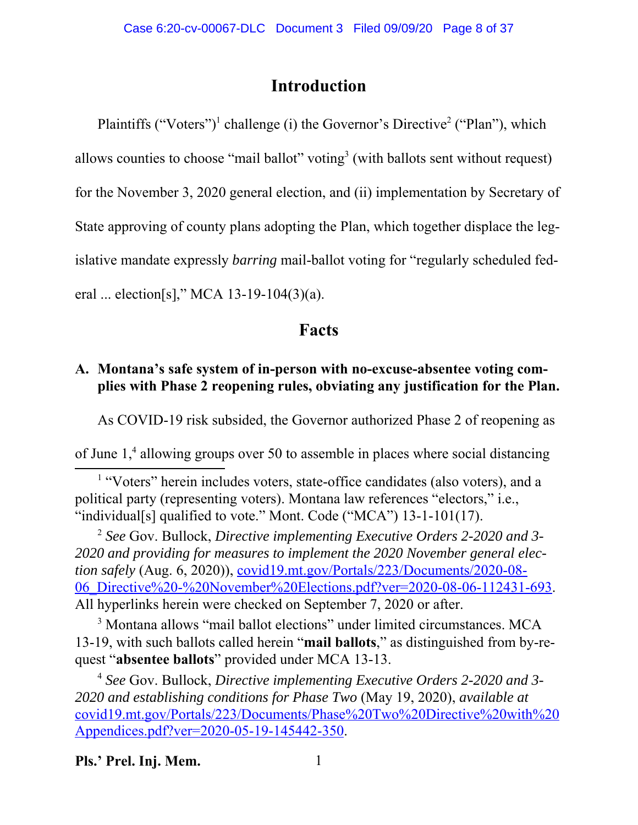## **Introduction**

Plaintiffs ("Voters")<sup>1</sup> challenge (i) the Governor's Directive<sup>2</sup> ("Plan"), which allows counties to choose "mail ballot" voting $3$  (with ballots sent without request) for the November 3, 2020 general election, and (ii) implementation by Secretary of State approving of county plans adopting the Plan, which together displace the legislative mandate expressly *barring* mail-ballot voting for "regularly scheduled federal ... election[s]," MCA 13-19-104(3)(a).

## **Facts**

## **A. Montana's safe system of in-person with no-excuse-absentee voting complies with Phase 2 reopening rules, obviating any justification for the Plan.**

As COVID-19 risk subsided, the Governor authorized Phase 2 of reopening as

of June 1,<sup>4</sup> allowing groups over 50 to assemble in places where social distancing

<sup>1</sup> "Voters" herein includes voters, state-office candidates (also voters), and a political party (representing voters). Montana law references "electors," i.e., "individual[s] qualified to vote." Mont. Code ("MCA") 13-1-101(17).

<sup>2</sup> *See* Gov. Bullock, *Directive implementing Executive Orders 2-2020 and 3- 2020 and providing for measures to implement the 2020 November general election safely* (Aug. 6, 2020)), covid19.mt.gov/Portals/223/Documents/2020-08- 06\_Directive%20-%20November%20Elections.pdf?ver=2020-08-06-112431-693. All hyperlinks herein were checked on September 7, 2020 or after.

<sup>3</sup> Montana allows "mail ballot elections" under limited circumstances. MCA 13-19, with such ballots called herein "**mail ballots**," as distinguished from by-request "**absentee ballots**" provided under MCA 13-13.

<sup>4</sup> *See* Gov. Bullock, *Directive implementing Executive Orders 2-2020 and 3- 2020 and establishing conditions for Phase Two* (May 19, 2020), *available at* covid19.mt.gov/Portals/223/Documents/Phase%20Two%20Directive%20with%20 Appendices.pdf?ver=2020-05-19-145442-350.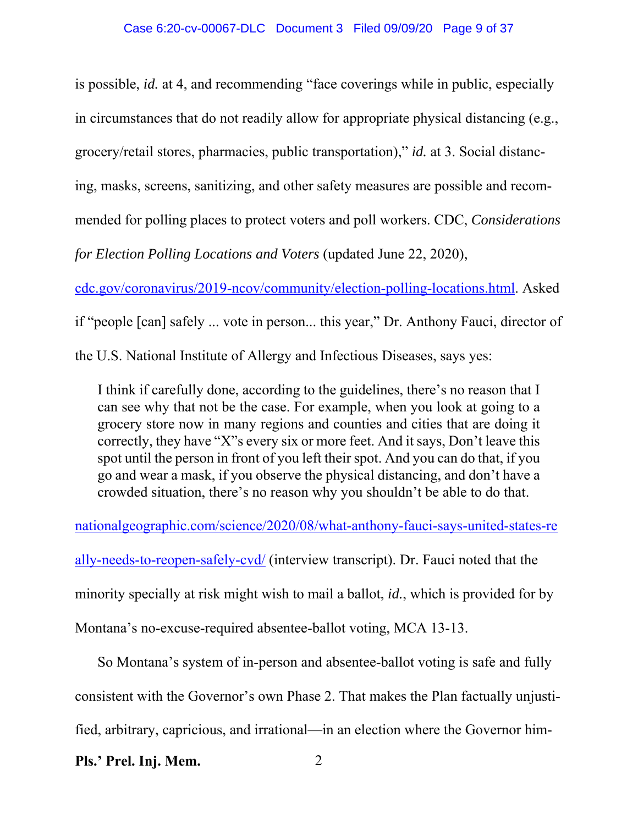is possible, *id.* at 4, and recommending "face coverings while in public, especially in circumstances that do not readily allow for appropriate physical distancing (e.g., grocery/retail stores, pharmacies, public transportation)," *id.* at 3. Social distancing, masks, screens, sanitizing, and other safety measures are possible and recommended for polling places to protect voters and poll workers. CDC, *Considerations for Election Polling Locations and Voters* (updated June 22, 2020),

cdc.gov/coronavirus/2019-ncov/community/election-polling-locations.html. Asked

if "people [can] safely ... vote in person... this year," Dr. Anthony Fauci, director of

the U.S. National Institute of Allergy and Infectious Diseases, says yes:

I think if carefully done, according to the guidelines, there's no reason that I can see why that not be the case. For example, when you look at going to a grocery store now in many regions and counties and cities that are doing it correctly, they have "X"s every six or more feet. And it says, Don't leave this spot until the person in front of you left their spot. And you can do that, if you go and wear a mask, if you observe the physical distancing, and don't have a crowded situation, there's no reason why you shouldn't be able to do that.

nationalgeographic.com/science/2020/08/what-anthony-fauci-says-united-states-re

ally-needs-to-reopen-safely-cvd/ (interview transcript). Dr. Fauci noted that the minority specially at risk might wish to mail a ballot, *id.*, which is provided for by Montana's no-excuse-required absentee-ballot voting, MCA 13-13.

So Montana's system of in-person and absentee-ballot voting is safe and fully consistent with the Governor's own Phase 2. That makes the Plan factually unjustified, arbitrary, capricious, and irrational—in an election where the Governor him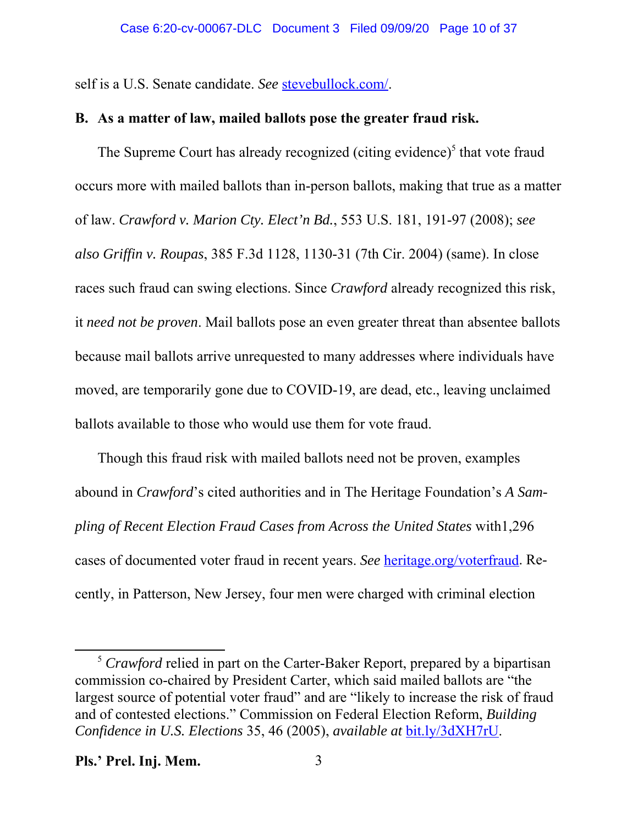self is a U.S. Senate candidate. *See* stevebullock.com/.

## **B. As a matter of law, mailed ballots pose the greater fraud risk.**

The Supreme Court has already recognized (citing evidence)<sup>5</sup> that vote fraud occurs more with mailed ballots than in-person ballots, making that true as a matter of law. *Crawford v. Marion Cty. Elect'n Bd.*, 553 U.S. 181, 191-97 (2008); *see also Griffin v. Roupas*, 385 F.3d 1128, 1130-31 (7th Cir. 2004) (same). In close races such fraud can swing elections. Since *Crawford* already recognized this risk, it *need not be proven*. Mail ballots pose an even greater threat than absentee ballots because mail ballots arrive unrequested to many addresses where individuals have moved, are temporarily gone due to COVID-19, are dead, etc., leaving unclaimed ballots available to those who would use them for vote fraud.

Though this fraud risk with mailed ballots need not be proven, examples abound in *Crawford*'s cited authorities and in The Heritage Foundation's *A Sampling of Recent Election Fraud Cases from Across the United States* with1,296 cases of documented voter fraud in recent years. *See* heritage.org/voterfraud. Recently, in Patterson, New Jersey, four men were charged with criminal election

<sup>&</sup>lt;sup>5</sup> Crawford relied in part on the Carter-Baker Report, prepared by a bipartisan commission co-chaired by President Carter, which said mailed ballots are "the largest source of potential voter fraud" and are "likely to increase the risk of fraud and of contested elections." Commission on Federal Election Reform, *Building Confidence in U.S. Elections* 35, 46 (2005), *available at* bit.ly/3dXH7rU.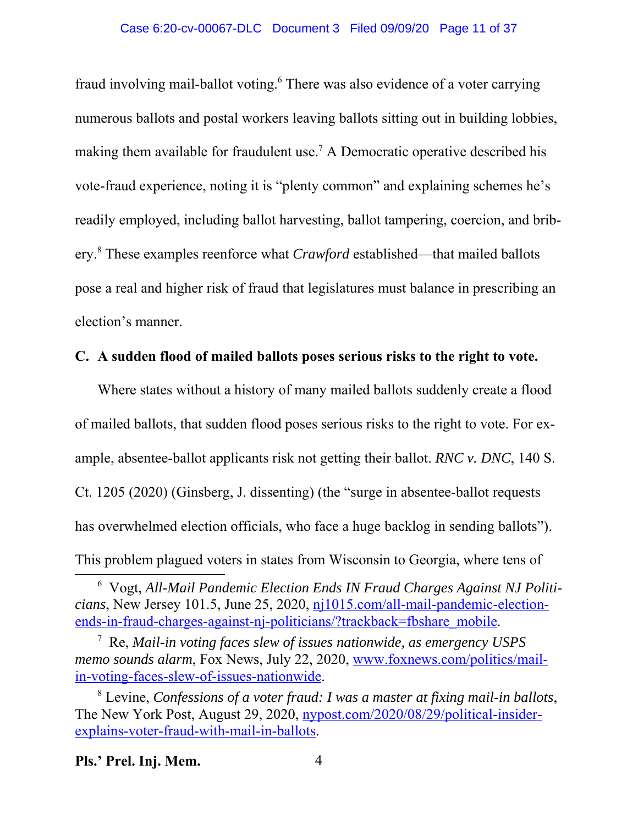fraud involving mail-ballot voting.<sup>6</sup> There was also evidence of a voter carrying numerous ballots and postal workers leaving ballots sitting out in building lobbies, making them available for fraudulent use.<sup>7</sup> A Democratic operative described his vote-fraud experience, noting it is "plenty common" and explaining schemes he's readily employed, including ballot harvesting, ballot tampering, coercion, and bribery.<sup>8</sup> These examples reenforce what *Crawford* established—that mailed ballots pose a real and higher risk of fraud that legislatures must balance in prescribing an election's manner.

### **C. A sudden flood of mailed ballots poses serious risks to the right to vote.**

Where states without a history of many mailed ballots suddenly create a flood of mailed ballots, that sudden flood poses serious risks to the right to vote. For example, absentee-ballot applicants risk not getting their ballot. *RNC v. DNC*, 140 S. Ct. 1205 (2020) (Ginsberg, J. dissenting) (the "surge in absentee-ballot requests has overwhelmed election officials, who face a huge backlog in sending ballots"). This problem plagued voters in states from Wisconsin to Georgia, where tens of

<sup>6</sup> Vogt, *All-Mail Pandemic Election Ends IN Fraud Charges Against NJ Politicians*, New Jersey 101.5, June 25, 2020, nj1015.com/all-mail-pandemic-electionends-in-fraud-charges-against-nj-politicians/?trackback=fbshare\_mobile.

<sup>7</sup> Re, *Mail-in voting faces slew of issues nationwide, as emergency USPS memo sounds alarm*, Fox News, July 22, 2020, www.foxnews.com/politics/mailin-voting-faces-slew-of-issues-nationwide.

<sup>8</sup> Levine, *Confessions of a voter fraud: I was a master at fixing mail-in ballots*, The New York Post, August 29, 2020, nypost.com/2020/08/29/political-insiderexplains-voter-fraud-with-mail-in-ballots.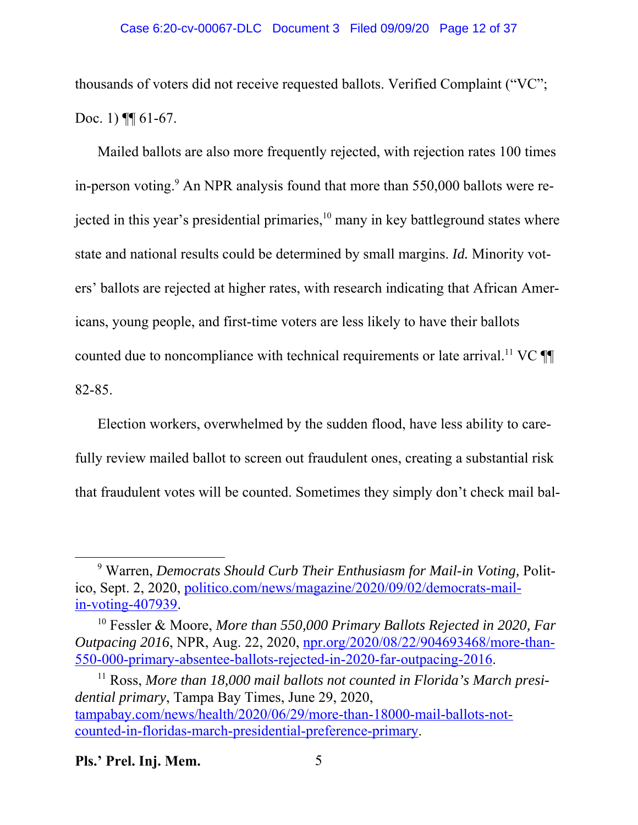thousands of voters did not receive requested ballots. Verified Complaint ("VC"; Doc. 1) **[**[ 61-67.

Mailed ballots are also more frequently rejected, with rejection rates 100 times in-person voting.<sup>9</sup> An NPR analysis found that more than 550,000 ballots were rejected in this year's presidential primaries, $10$  many in key battleground states where state and national results could be determined by small margins. *Id.* Minority voters' ballots are rejected at higher rates, with research indicating that African Americans, young people, and first-time voters are less likely to have their ballots counted due to noncompliance with technical requirements or late arrival.<sup>11</sup> VC  $\P\P$ 82-85.

Election workers, overwhelmed by the sudden flood, have less ability to carefully review mailed ballot to screen out fraudulent ones, creating a substantial risk that fraudulent votes will be counted. Sometimes they simply don't check mail bal-

<sup>&</sup>lt;sup>9</sup> Warren, *Democrats Should Curb Their Enthusiasm for Mail-in Voting*, Politico, Sept. 2, 2020, politico.com/news/magazine/2020/09/02/democrats-mailin-voting-407939.

<sup>10</sup> Fessler & Moore, *More than 550,000 Primary Ballots Rejected in 2020, Far Outpacing 2016*, NPR, Aug. 22, 2020, npr.org/2020/08/22/904693468/more-than-550-000-primary-absentee-ballots-rejected-in-2020-far-outpacing-2016.

<sup>&</sup>lt;sup>11</sup> Ross, More than 18,000 mail ballots not counted in Florida's March presi*dential primary*, Tampa Bay Times, June 29, 2020, tampabay.com/news/health/2020/06/29/more-than-18000-mail-ballots-notcounted-in-floridas-march-presidential-preference-primary.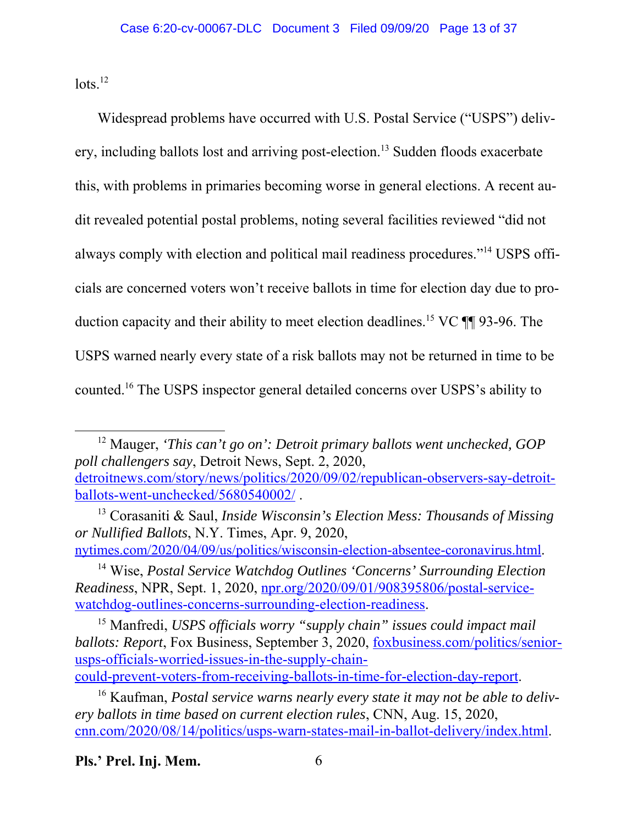$\frac{1}{2}$ 

Widespread problems have occurred with U.S. Postal Service ("USPS") delivery, including ballots lost and arriving post-election.<sup>13</sup> Sudden floods exacerbate this, with problems in primaries becoming worse in general elections. A recent audit revealed potential postal problems, noting several facilities reviewed "did not always comply with election and political mail readiness procedures."14 USPS officials are concerned voters won't receive ballots in time for election day due to production capacity and their ability to meet election deadlines.15 VC ¶¶ 93-96. The USPS warned nearly every state of a risk ballots may not be returned in time to be counted.16 The USPS inspector general detailed concerns over USPS's ability to

12 Mauger, *'This can't go on': Detroit primary ballots went unchecked, GOP poll challengers say*, Detroit News, Sept. 2, 2020, detroitnews.com/story/news/politics/2020/09/02/republican-observers-say-detroitballots-went-unchecked/5680540002/ .

13 Corasaniti & Saul, *Inside Wisconsin's Election Mess: Thousands of Missing or Nullified Ballots*, N.Y. Times, Apr. 9, 2020,

nytimes.com/2020/04/09/us/politics/wisconsin-election-absentee-coronavirus.html. 14 Wise, *Postal Service Watchdog Outlines 'Concerns' Surrounding Election*

*Readiness*, NPR, Sept. 1, 2020, npr.org/2020/09/01/908395806/postal-servicewatchdog-outlines-concerns-surrounding-election-readiness.

15 Manfredi, *USPS officials worry "supply chain" issues could impact mail ballots: Report*, Fox Business, September 3, 2020, foxbusiness.com/politics/seniorusps-officials-worried-issues-in-the-supply-chain-

could-prevent-voters-from-receiving-ballots-in-time-for-election-day-report.

<sup>16</sup> Kaufman, *Postal service warns nearly every state it may not be able to delivery ballots in time based on current election rules*, CNN, Aug. 15, 2020, cnn.com/2020/08/14/politics/usps-warn-states-mail-in-ballot-delivery/index.html.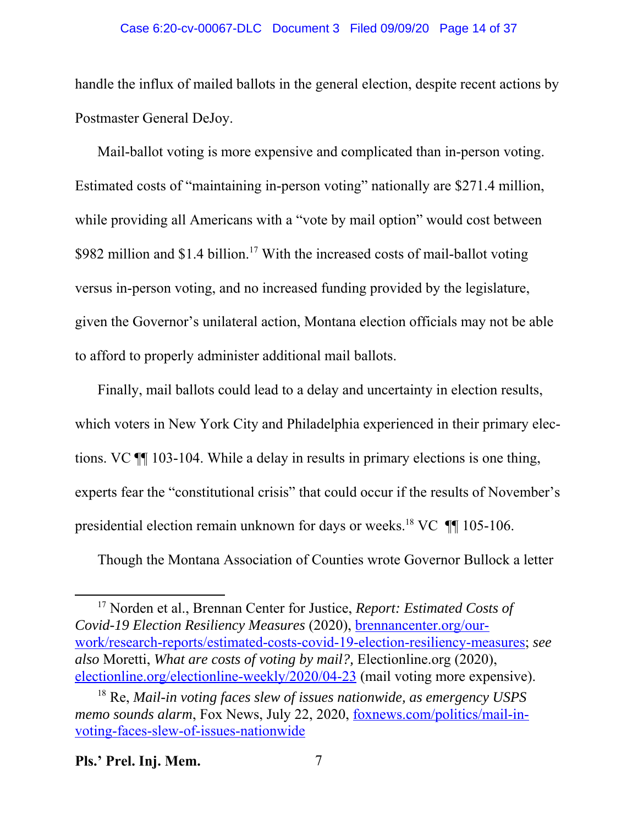### Case 6:20-cv-00067-DLC Document 3 Filed 09/09/20 Page 14 of 37

handle the influx of mailed ballots in the general election, despite recent actions by Postmaster General DeJoy.

Mail-ballot voting is more expensive and complicated than in-person voting. Estimated costs of "maintaining in-person voting" nationally are \$271.4 million, while providing all Americans with a "vote by mail option" would cost between \$982 million and \$1.4 billion.<sup>17</sup> With the increased costs of mail-ballot voting versus in-person voting, and no increased funding provided by the legislature, given the Governor's unilateral action, Montana election officials may not be able to afford to properly administer additional mail ballots.

Finally, mail ballots could lead to a delay and uncertainty in election results, which voters in New York City and Philadelphia experienced in their primary elections. VC ¶¶ 103-104. While a delay in results in primary elections is one thing, experts fear the "constitutional crisis" that could occur if the results of November's presidential election remain unknown for days or weeks.<sup>18</sup> VC  $\P$  105-106.

Though the Montana Association of Counties wrote Governor Bullock a letter

<sup>17</sup> Norden et al., Brennan Center for Justice, *Report: Estimated Costs of Covid-19 Election Resiliency Measures* (2020), brennancenter.org/ourwork/research-reports/estimated-costs-covid-19-election-resiliency-measures; *see also* Moretti, *What are costs of voting by mail?,* Electionline.org (2020), electionline.org/electionline-weekly/2020/04-23 (mail voting more expensive).

<sup>18</sup> Re, *Mail-in voting faces slew of issues nationwide, as emergency USPS memo sounds alarm*, Fox News, July 22, 2020, foxnews.com/politics/mail-invoting-faces-slew-of-issues-nationwide

**Pls.' Prel. Inj. Mem.** 7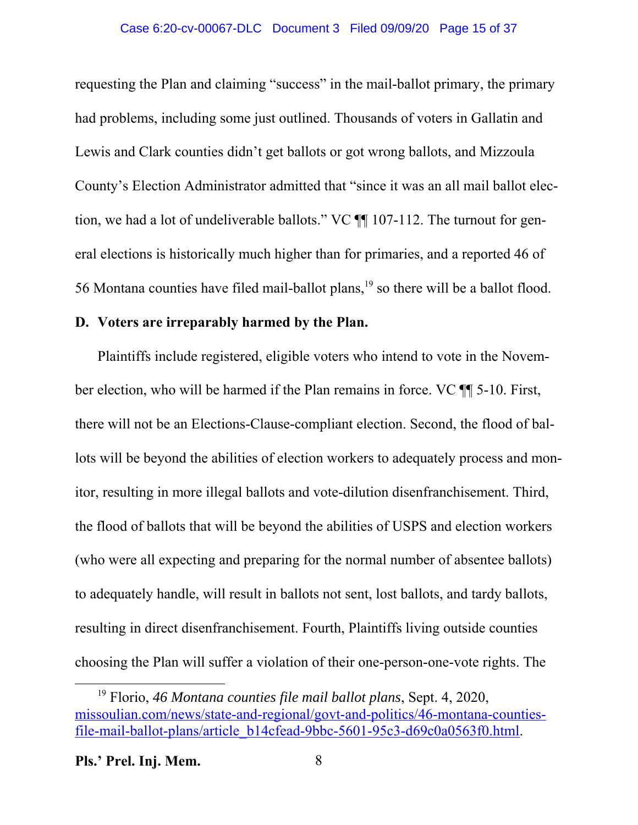### Case 6:20-cv-00067-DLC Document 3 Filed 09/09/20 Page 15 of 37

requesting the Plan and claiming "success" in the mail-ballot primary, the primary had problems, including some just outlined. Thousands of voters in Gallatin and Lewis and Clark counties didn't get ballots or got wrong ballots, and Mizzoula County's Election Administrator admitted that "since it was an all mail ballot election, we had a lot of undeliverable ballots." VC ¶¶ 107-112. The turnout for general elections is historically much higher than for primaries, and a reported 46 of 56 Montana counties have filed mail-ballot plans,<sup>19</sup> so there will be a ballot flood.

### **D. Voters are irreparably harmed by the Plan.**

Plaintiffs include registered, eligible voters who intend to vote in the November election, who will be harmed if the Plan remains in force. VC ¶¶ 5-10. First, there will not be an Elections-Clause-compliant election. Second, the flood of ballots will be beyond the abilities of election workers to adequately process and monitor, resulting in more illegal ballots and vote-dilution disenfranchisement. Third, the flood of ballots that will be beyond the abilities of USPS and election workers (who were all expecting and preparing for the normal number of absentee ballots) to adequately handle, will result in ballots not sent, lost ballots, and tardy ballots, resulting in direct disenfranchisement. Fourth, Plaintiffs living outside counties choosing the Plan will suffer a violation of their one-person-one-vote rights. The

<sup>19</sup> Florio, *46 Montana counties file mail ballot plans*, Sept. 4, 2020, missoulian.com/news/state-and-regional/govt-and-politics/46-montana-countiesfile-mail-ballot-plans/article\_b14cfead-9bbc-5601-95c3-d69c0a0563f0.html.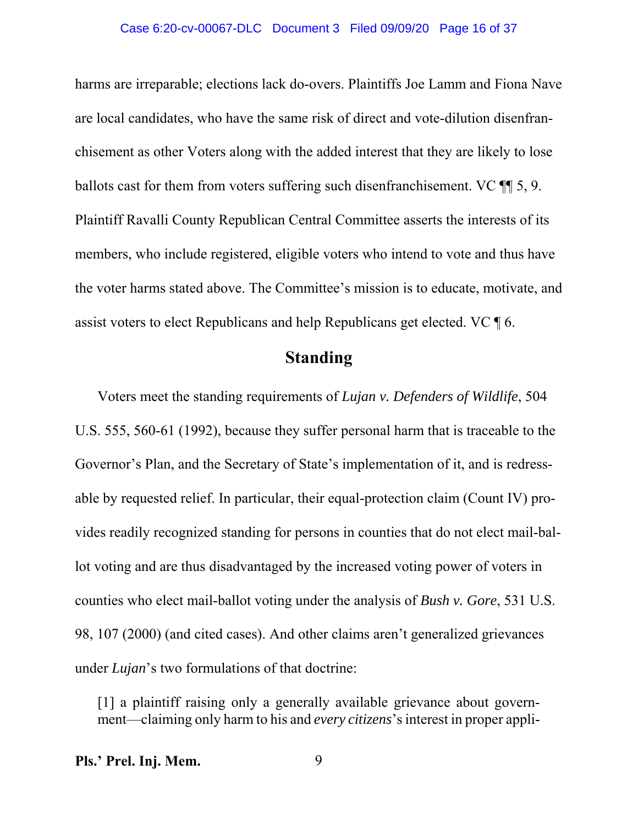#### Case 6:20-cv-00067-DLC Document 3 Filed 09/09/20 Page 16 of 37

harms are irreparable; elections lack do-overs. Plaintiffs Joe Lamm and Fiona Nave are local candidates, who have the same risk of direct and vote-dilution disenfranchisement as other Voters along with the added interest that they are likely to lose ballots cast for them from voters suffering such disenfranchisement. VC ¶¶ 5, 9. Plaintiff Ravalli County Republican Central Committee asserts the interests of its members, who include registered, eligible voters who intend to vote and thus have the voter harms stated above. The Committee's mission is to educate, motivate, and assist voters to elect Republicans and help Republicans get elected. VC ¶ 6.

## **Standing**

Voters meet the standing requirements of *Lujan v. Defenders of Wildlife*, 504 U.S. 555, 560-61 (1992), because they suffer personal harm that is traceable to the Governor's Plan, and the Secretary of State's implementation of it, and is redressable by requested relief. In particular, their equal-protection claim (Count IV) provides readily recognized standing for persons in counties that do not elect mail-ballot voting and are thus disadvantaged by the increased voting power of voters in counties who elect mail-ballot voting under the analysis of *Bush v. Gore*, 531 U.S. 98, 107 (2000) (and cited cases). And other claims aren't generalized grievances under *Lujan*'s two formulations of that doctrine:

[1] a plaintiff raising only a generally available grievance about government—claiming only harm to his and *every citizens*'sinterest in proper appli-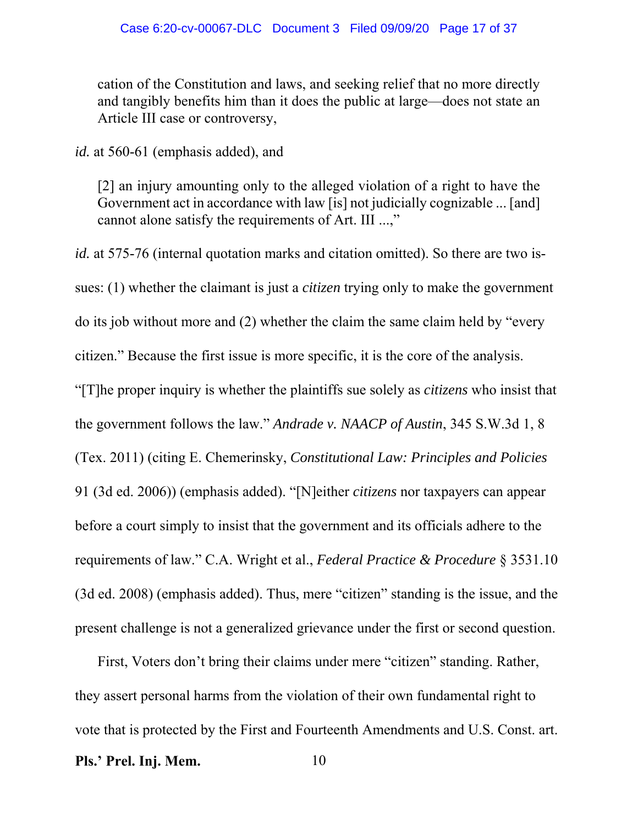cation of the Constitution and laws, and seeking relief that no more directly and tangibly benefits him than it does the public at large—does not state an Article III case or controversy,

*id.* at 560-61 (emphasis added), and

[2] an injury amounting only to the alleged violation of a right to have the Government act in accordance with law [is] not judicially cognizable ... [and] cannot alone satisfy the requirements of Art. III ...,"

*id.* at 575-76 (internal quotation marks and citation omitted). So there are two issues: (1) whether the claimant is just a *citizen* trying only to make the government do its job without more and (2) whether the claim the same claim held by "every citizen." Because the first issue is more specific, it is the core of the analysis. "[T]he proper inquiry is whether the plaintiffs sue solely as *citizens* who insist that the government follows the law." *Andrade v. NAACP of Austin*, 345 S.W.3d 1, 8 (Tex. 2011) (citing E. Chemerinsky, *Constitutional Law: Principles and Policies* 91 (3d ed. 2006)) (emphasis added). "[N]either *citizens* nor taxpayers can appear before a court simply to insist that the government and its officials adhere to the requirements of law." C.A. Wright et al., *Federal Practice & Procedure* § 3531.10 (3d ed. 2008) (emphasis added). Thus, mere "citizen" standing is the issue, and the present challenge is not a generalized grievance under the first or second question.

First, Voters don't bring their claims under mere "citizen" standing. Rather, they assert personal harms from the violation of their own fundamental right to vote that is protected by the First and Fourteenth Amendments and U.S. Const. art. **Pls.' Prel. Inj. Mem.** 10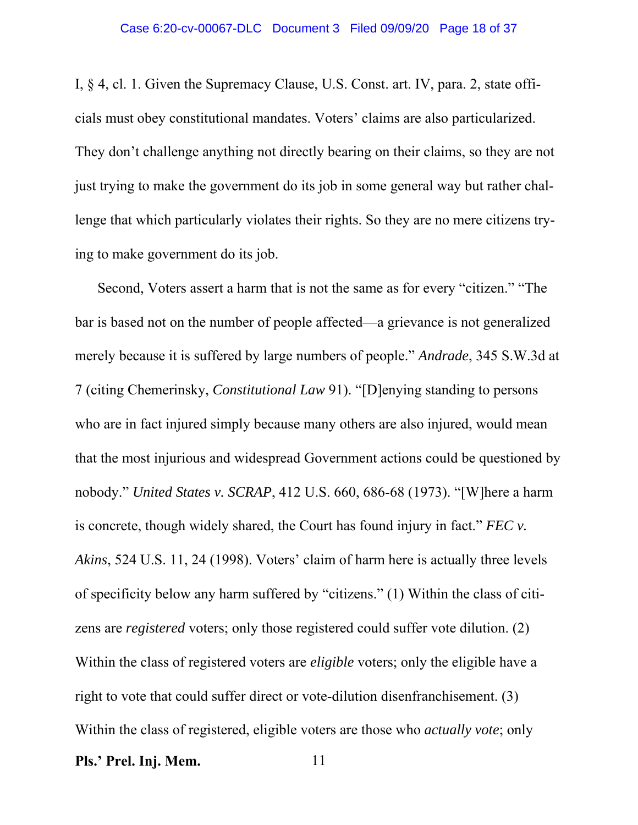I, § 4, cl. 1. Given the Supremacy Clause, U.S. Const. art. IV, para. 2, state officials must obey constitutional mandates. Voters' claims are also particularized. They don't challenge anything not directly bearing on their claims, so they are not just trying to make the government do its job in some general way but rather challenge that which particularly violates their rights. So they are no mere citizens trying to make government do its job.

Second, Voters assert a harm that is not the same as for every "citizen." "The bar is based not on the number of people affected—a grievance is not generalized merely because it is suffered by large numbers of people." *Andrade*, 345 S.W.3d at 7 (citing Chemerinsky, *Constitutional Law* 91). "[D]enying standing to persons who are in fact injured simply because many others are also injured, would mean that the most injurious and widespread Government actions could be questioned by nobody." *United States v. SCRAP*, 412 U.S. 660, 686-68 (1973). "[W]here a harm is concrete, though widely shared, the Court has found injury in fact." *FEC v. Akins*, 524 U.S. 11, 24 (1998). Voters' claim of harm here is actually three levels of specificity below any harm suffered by "citizens." (1) Within the class of citizens are *registered* voters; only those registered could suffer vote dilution. (2) Within the class of registered voters are *eligible* voters; only the eligible have a right to vote that could suffer direct or vote-dilution disenfranchisement. (3) Within the class of registered, eligible voters are those who *actually vote*; only **Pls.' Prel. Inj. Mem.** 11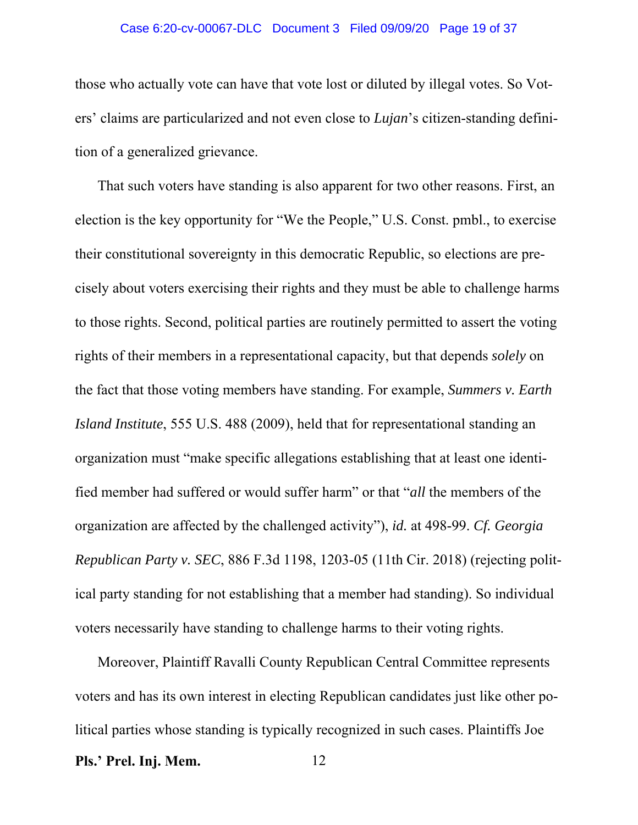#### Case 6:20-cv-00067-DLC Document 3 Filed 09/09/20 Page 19 of 37

those who actually vote can have that vote lost or diluted by illegal votes. So Voters' claims are particularized and not even close to *Lujan*'s citizen-standing definition of a generalized grievance.

That such voters have standing is also apparent for two other reasons. First, an election is the key opportunity for "We the People," U.S. Const. pmbl., to exercise their constitutional sovereignty in this democratic Republic, so elections are precisely about voters exercising their rights and they must be able to challenge harms to those rights. Second, political parties are routinely permitted to assert the voting rights of their members in a representational capacity, but that depends *solely* on the fact that those voting members have standing. For example, *Summers v. Earth Island Institute*, 555 U.S. 488 (2009), held that for representational standing an organization must "make specific allegations establishing that at least one identified member had suffered or would suffer harm" or that "*all* the members of the organization are affected by the challenged activity"), *id.* at 498-99. *Cf. Georgia Republican Party v. SEC*, 886 F.3d 1198, 1203-05 (11th Cir. 2018) (rejecting political party standing for not establishing that a member had standing). So individual voters necessarily have standing to challenge harms to their voting rights.

Moreover, Plaintiff Ravalli County Republican Central Committee represents voters and has its own interest in electing Republican candidates just like other political parties whose standing is typically recognized in such cases. Plaintiffs Joe **Pls.' Prel. Inj. Mem.** 12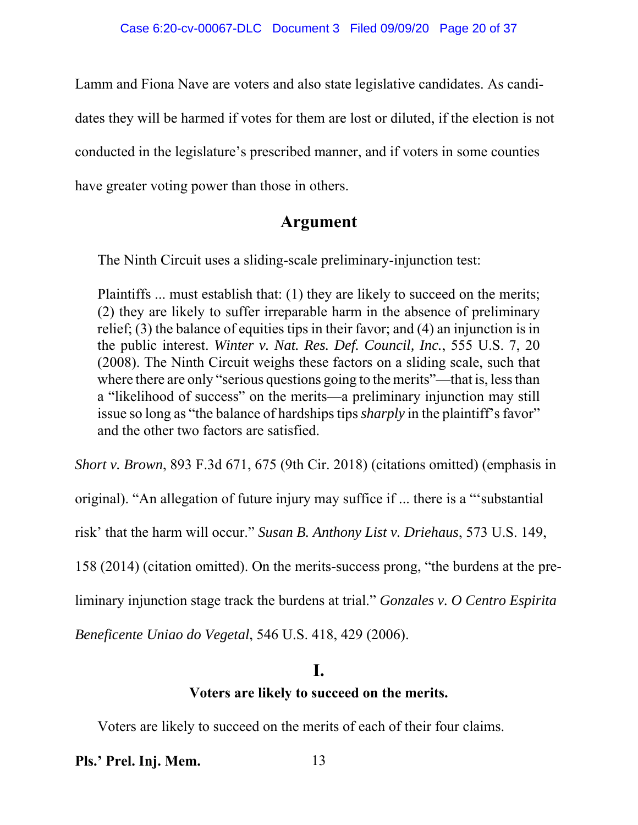Lamm and Fiona Nave are voters and also state legislative candidates. As candi-

dates they will be harmed if votes for them are lost or diluted, if the election is not

conducted in the legislature's prescribed manner, and if voters in some counties

have greater voting power than those in others.

## **Argument**

The Ninth Circuit uses a sliding-scale preliminary-injunction test:

Plaintiffs ... must establish that: (1) they are likely to succeed on the merits; (2) they are likely to suffer irreparable harm in the absence of preliminary relief; (3) the balance of equities tips in their favor; and (4) an injunction is in the public interest. *Winter v. Nat. Res. Def. Council, Inc.*, 555 U.S. 7, 20 (2008). The Ninth Circuit weighs these factors on a sliding scale, such that where there are only "serious questions going to the merits"—that is, less than a "likelihood of success" on the merits—a preliminary injunction may still issue so long as "the balance of hardships tips *sharply* in the plaintiff's favor" and the other two factors are satisfied.

*Short v. Brown*, 893 F.3d 671, 675 (9th Cir. 2018) (citations omitted) (emphasis in

original). "An allegation of future injury may suffice if ... there is a "'substantial

risk' that the harm will occur." *Susan B. Anthony List v. Driehaus*, 573 U.S. 149,

158 (2014) (citation omitted). On the merits-success prong, "the burdens at the pre-

liminary injunction stage track the burdens at trial." *Gonzales v. O Centro Espirita*

*Beneficente Uniao do Vegetal*, 546 U.S. 418, 429 (2006).

## **I.**

## **Voters are likely to succeed on the merits.**

Voters are likely to succeed on the merits of each of their four claims.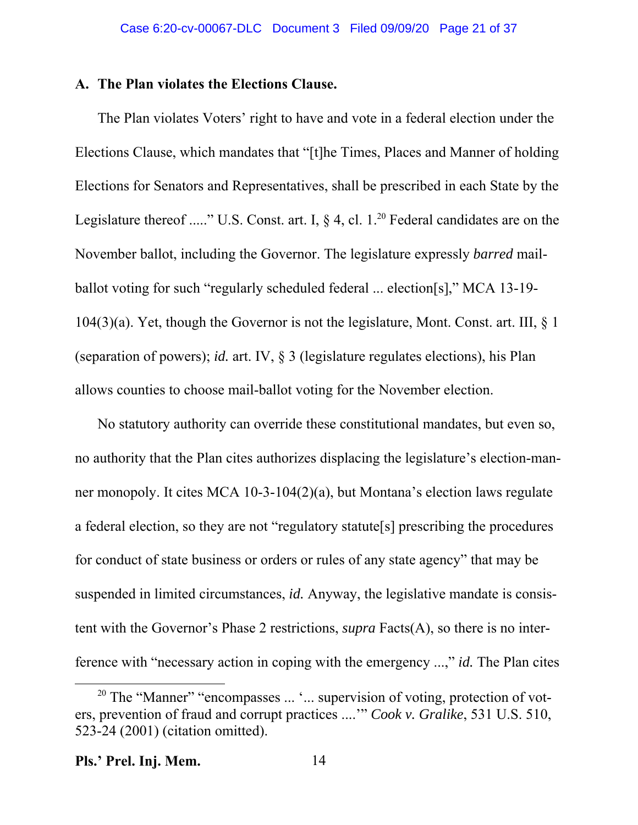### **A. The Plan violates the Elections Clause.**

The Plan violates Voters' right to have and vote in a federal election under the Elections Clause, which mandates that "[t]he Times, Places and Manner of holding Elections for Senators and Representatives, shall be prescribed in each State by the Legislature thereof ....." U.S. Const. art. I,  $\delta$  4, cl. 1.<sup>20</sup> Federal candidates are on the November ballot, including the Governor. The legislature expressly *barred* mailballot voting for such "regularly scheduled federal ... election[s]," MCA 13-19-  $104(3)(a)$ . Yet, though the Governor is not the legislature, Mont. Const. art. III, § 1 (separation of powers); *id.* art. IV, § 3 (legislature regulates elections), his Plan allows counties to choose mail-ballot voting for the November election.

No statutory authority can override these constitutional mandates, but even so, no authority that the Plan cites authorizes displacing the legislature's election-manner monopoly. It cites MCA 10-3-104(2)(a), but Montana's election laws regulate a federal election, so they are not "regulatory statute[s] prescribing the procedures for conduct of state business or orders or rules of any state agency" that may be suspended in limited circumstances, *id.* Anyway, the legislative mandate is consistent with the Governor's Phase 2 restrictions, *supra* Facts(A), so there is no interference with "necessary action in coping with the emergency ...," *id.* The Plan cites

<sup>&</sup>lt;sup>20</sup> The "Manner" "encompasses ... '... supervision of voting, protection of voters, prevention of fraud and corrupt practices ....'" *Cook v. Gralike*, 531 U.S. 510, 523-24 (2001) (citation omitted).

**Pls.' Prel. Inj. Mem.** 14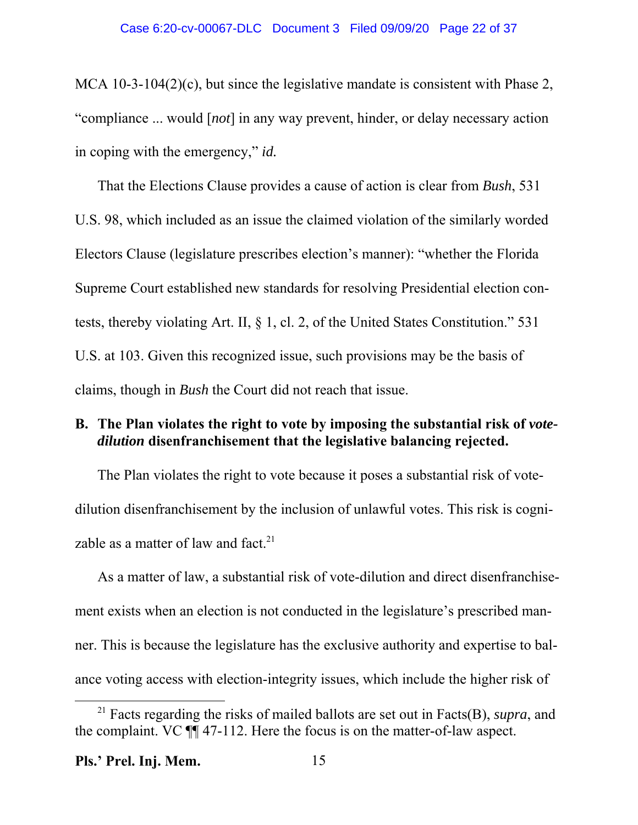MCA 10-3-104(2)(c), but since the legislative mandate is consistent with Phase 2, "compliance ... would [*not*] in any way prevent, hinder, or delay necessary action in coping with the emergency," *id.*

That the Elections Clause provides a cause of action is clear from *Bush*, 531 U.S. 98, which included as an issue the claimed violation of the similarly worded Electors Clause (legislature prescribes election's manner): "whether the Florida Supreme Court established new standards for resolving Presidential election contests, thereby violating Art. II, § 1, cl. 2, of the United States Constitution." 531 U.S. at 103. Given this recognized issue, such provisions may be the basis of claims, though in *Bush* the Court did not reach that issue.

## B. The Plan violates the right to vote by imposing the substantial risk of *votedilution* **disenfranchisement that the legislative balancing rejected.**

The Plan violates the right to vote because it poses a substantial risk of votedilution disenfranchisement by the inclusion of unlawful votes. This risk is cognizable as a matter of law and fact.<sup>21</sup>

As a matter of law, a substantial risk of vote-dilution and direct disenfranchisement exists when an election is not conducted in the legislature's prescribed manner. This is because the legislature has the exclusive authority and expertise to balance voting access with election-integrity issues, which include the higher risk of

<sup>21</sup> Facts regarding the risks of mailed ballots are set out in Facts(B), *supra*, and the complaint. VC ¶¶ 47-112. Here the focus is on the matter-of-law aspect.

**Pls.' Prel. Inj. Mem.** 15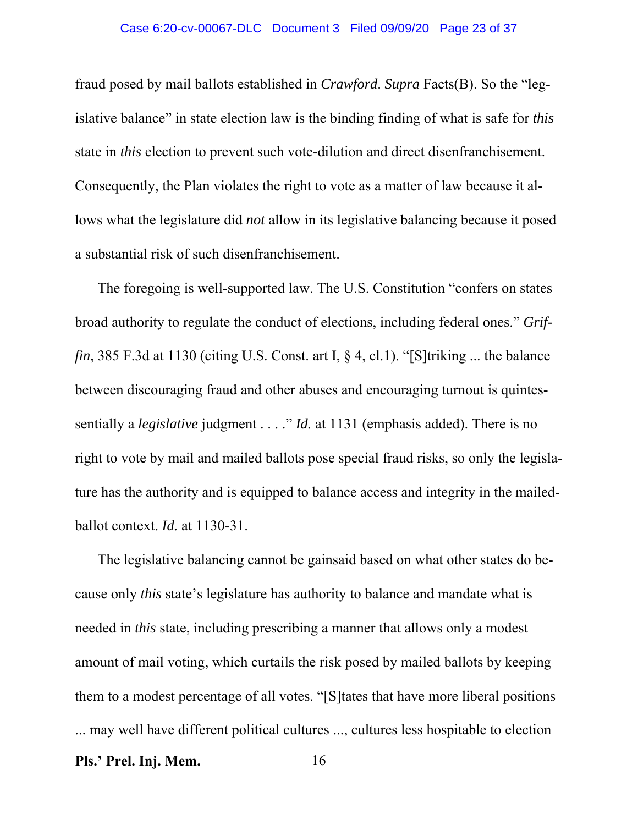#### Case 6:20-cv-00067-DLC Document 3 Filed 09/09/20 Page 23 of 37

fraud posed by mail ballots established in *Crawford*. *Supra* Facts(B). So the "legislative balance" in state election law is the binding finding of what is safe for *this* state in *this* election to prevent such vote-dilution and direct disenfranchisement. Consequently, the Plan violates the right to vote as a matter of law because it allows what the legislature did *not* allow in its legislative balancing because it posed a substantial risk of such disenfranchisement.

The foregoing is well-supported law. The U.S. Constitution "confers on states broad authority to regulate the conduct of elections, including federal ones." *Griffin*, 385 F.3d at 1130 (citing U.S. Const. art I, § 4, cl.1). "[S]triking ... the balance between discouraging fraud and other abuses and encouraging turnout is quintessentially a *legislative* judgment . . . ." *Id.* at 1131 (emphasis added). There is no right to vote by mail and mailed ballots pose special fraud risks, so only the legislature has the authority and is equipped to balance access and integrity in the mailedballot context. *Id.* at 1130-31.

The legislative balancing cannot be gainsaid based on what other states do because only *this* state's legislature has authority to balance and mandate what is needed in *this* state, including prescribing a manner that allows only a modest amount of mail voting, which curtails the risk posed by mailed ballots by keeping them to a modest percentage of all votes. "[S]tates that have more liberal positions ... may well have different political cultures ..., cultures less hospitable to election **Pls.' Prel. Inj. Mem.** 16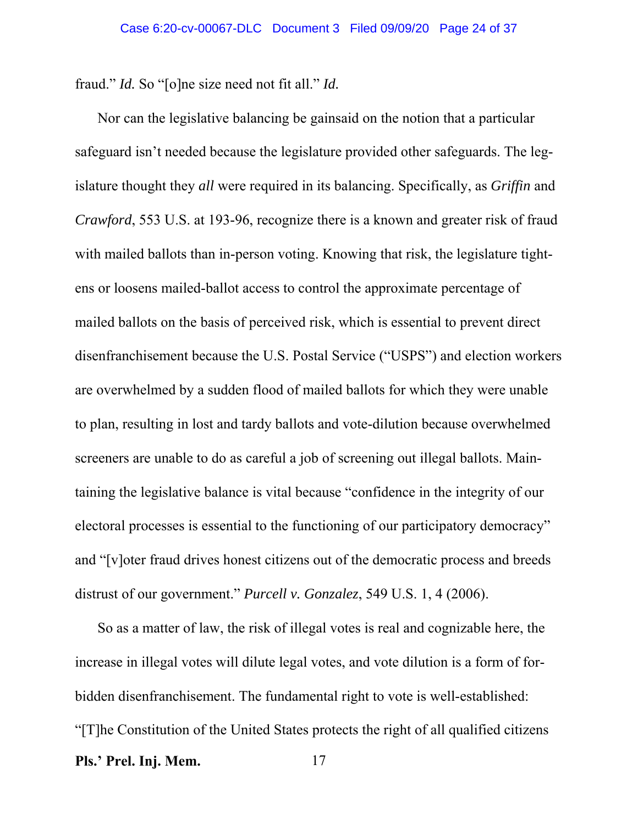fraud." *Id.* So "[o]ne size need not fit all." *Id.*

Nor can the legislative balancing be gainsaid on the notion that a particular safeguard isn't needed because the legislature provided other safeguards. The legislature thought they *all* were required in its balancing. Specifically, as *Griffin* and *Crawford*, 553 U.S. at 193-96, recognize there is a known and greater risk of fraud with mailed ballots than in-person voting. Knowing that risk, the legislature tightens or loosens mailed-ballot access to control the approximate percentage of mailed ballots on the basis of perceived risk, which is essential to prevent direct disenfranchisement because the U.S. Postal Service ("USPS") and election workers are overwhelmed by a sudden flood of mailed ballots for which they were unable to plan, resulting in lost and tardy ballots and vote-dilution because overwhelmed screeners are unable to do as careful a job of screening out illegal ballots. Maintaining the legislative balance is vital because "confidence in the integrity of our electoral processes is essential to the functioning of our participatory democracy" and "[v]oter fraud drives honest citizens out of the democratic process and breeds distrust of our government." *Purcell v. Gonzalez*, 549 U.S. 1, 4 (2006).

So as a matter of law, the risk of illegal votes is real and cognizable here, the increase in illegal votes will dilute legal votes, and vote dilution is a form of forbidden disenfranchisement. The fundamental right to vote is well-established: "[T]he Constitution of the United States protects the right of all qualified citizens **Pls.' Prel. Inj. Mem.** 17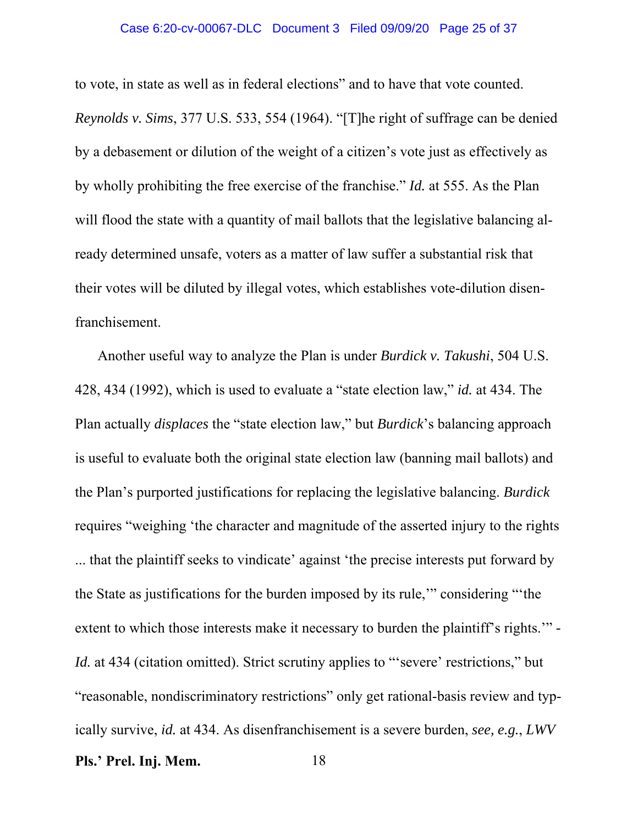#### Case 6:20-cv-00067-DLC Document 3 Filed 09/09/20 Page 25 of 37

to vote, in state as well as in federal elections" and to have that vote counted. *Reynolds v. Sims*, 377 U.S. 533, 554 (1964). "[T]he right of suffrage can be denied by a debasement or dilution of the weight of a citizen's vote just as effectively as by wholly prohibiting the free exercise of the franchise." *Id.* at 555. As the Plan will flood the state with a quantity of mail ballots that the legislative balancing already determined unsafe, voters as a matter of law suffer a substantial risk that their votes will be diluted by illegal votes, which establishes vote-dilution disenfranchisement.

Another useful way to analyze the Plan is under *Burdick v. Takushi*, 504 U.S. 428, 434 (1992), which is used to evaluate a "state election law," *id.* at 434. The Plan actually *displaces* the "state election law," but *Burdick*'s balancing approach is useful to evaluate both the original state election law (banning mail ballots) and the Plan's purported justifications for replacing the legislative balancing. *Burdick* requires "weighing 'the character and magnitude of the asserted injury to the rights ... that the plaintiff seeks to vindicate' against 'the precise interests put forward by the State as justifications for the burden imposed by its rule,'" considering "'the extent to which those interests make it necessary to burden the plaintiff's rights.'" *- Id.* at 434 (citation omitted). Strict scrutiny applies to "severe' restrictions," but "reasonable, nondiscriminatory restrictions" only get rational-basis review and typically survive, *id.* at 434. As disenfranchisement is a severe burden, *see, e.g.*, *LWV* **Pls.' Prel. Inj. Mem.** 18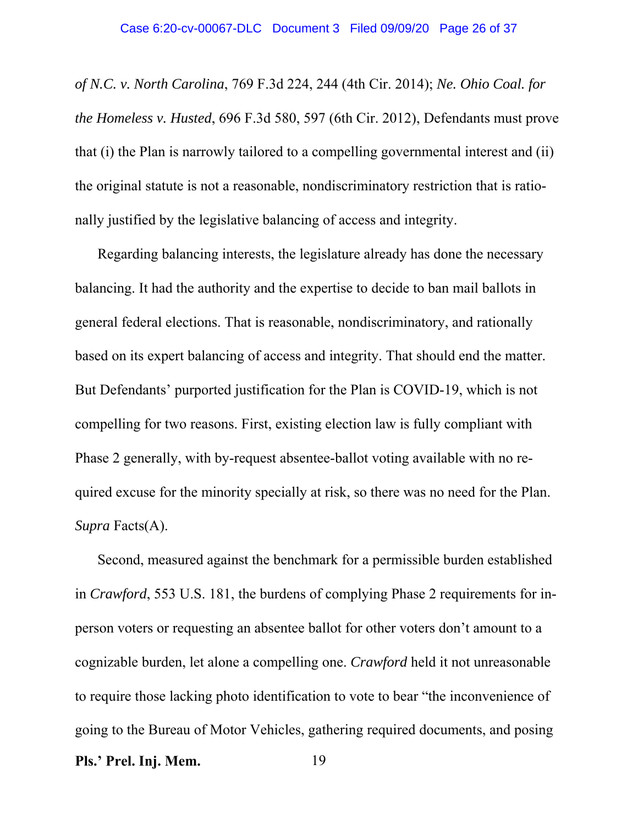*of N.C. v. North Carolina*, 769 F.3d 224, 244 (4th Cir. 2014); *Ne. Ohio Coal. for the Homeless v. Husted*, 696 F.3d 580, 597 (6th Cir. 2012), Defendants must prove that (i) the Plan is narrowly tailored to a compelling governmental interest and (ii) the original statute is not a reasonable, nondiscriminatory restriction that is rationally justified by the legislative balancing of access and integrity.

Regarding balancing interests, the legislature already has done the necessary balancing. It had the authority and the expertise to decide to ban mail ballots in general federal elections. That is reasonable, nondiscriminatory, and rationally based on its expert balancing of access and integrity. That should end the matter. But Defendants' purported justification for the Plan is COVID-19, which is not compelling for two reasons. First, existing election law is fully compliant with Phase 2 generally, with by-request absentee-ballot voting available with no required excuse for the minority specially at risk, so there was no need for the Plan. *Supra* Facts(A).

Second, measured against the benchmark for a permissible burden established in *Crawford*, 553 U.S. 181, the burdens of complying Phase 2 requirements for inperson voters or requesting an absentee ballot for other voters don't amount to a cognizable burden, let alone a compelling one. *Crawford* held it not unreasonable to require those lacking photo identification to vote to bear "the inconvenience of going to the Bureau of Motor Vehicles, gathering required documents, and posing **Pls.' Prel. Inj. Mem.** 19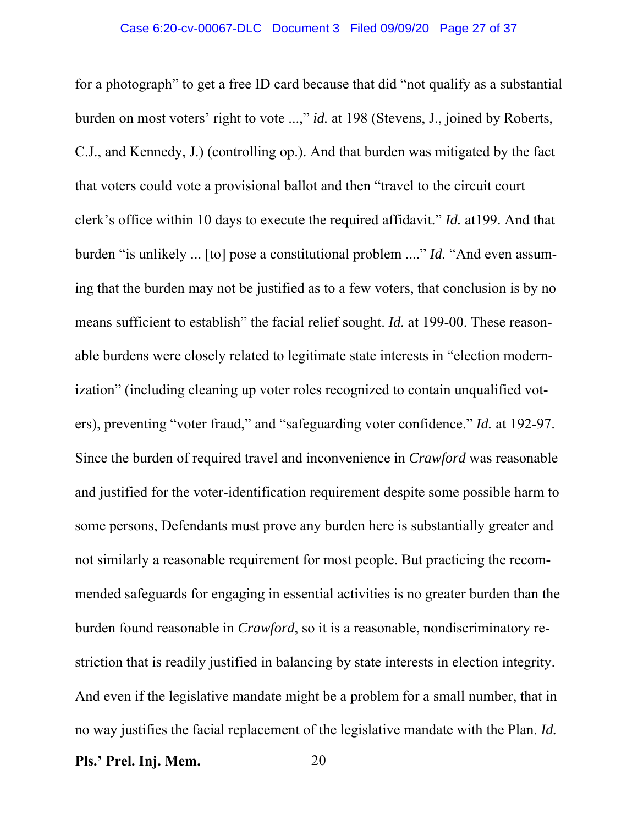for a photograph" to get a free ID card because that did "not qualify as a substantial burden on most voters' right to vote ...," *id.* at 198 (Stevens, J., joined by Roberts, C.J., and Kennedy, J.) (controlling op.). And that burden was mitigated by the fact that voters could vote a provisional ballot and then "travel to the circuit court clerk's office within 10 days to execute the required affidavit." *Id.* at199. And that burden "is unlikely ... [to] pose a constitutional problem ...." *Id.* "And even assuming that the burden may not be justified as to a few voters, that conclusion is by no means sufficient to establish" the facial relief sought. *Id.* at 199-00. These reasonable burdens were closely related to legitimate state interests in "election modernization" (including cleaning up voter roles recognized to contain unqualified voters), preventing "voter fraud," and "safeguarding voter confidence." *Id.* at 192-97. Since the burden of required travel and inconvenience in *Crawford* was reasonable and justified for the voter-identification requirement despite some possible harm to some persons, Defendants must prove any burden here is substantially greater and not similarly a reasonable requirement for most people. But practicing the recommended safeguards for engaging in essential activities is no greater burden than the burden found reasonable in *Crawford*, so it is a reasonable, nondiscriminatory restriction that is readily justified in balancing by state interests in election integrity. And even if the legislative mandate might be a problem for a small number, that in no way justifies the facial replacement of the legislative mandate with the Plan. *Id.*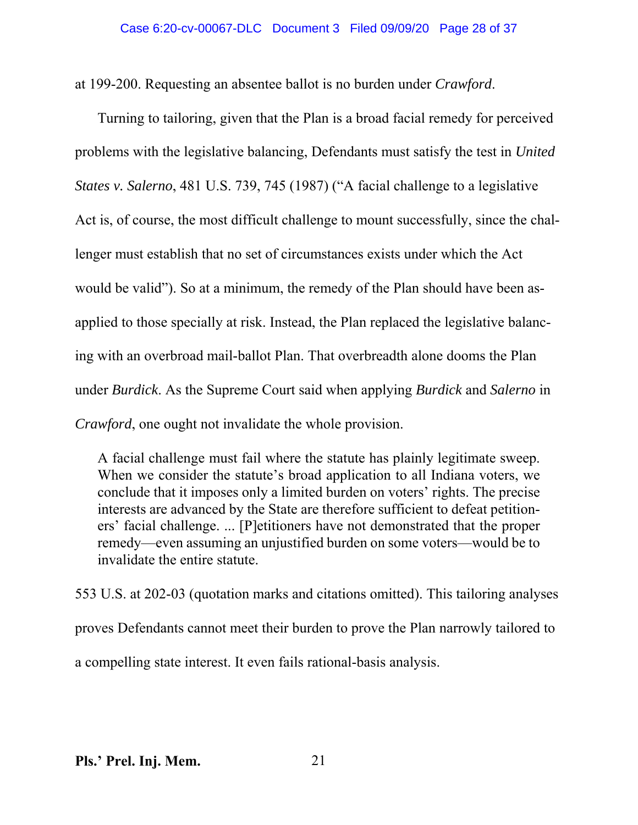at 199-200. Requesting an absentee ballot is no burden under *Crawford*.

Turning to tailoring, given that the Plan is a broad facial remedy for perceived problems with the legislative balancing, Defendants must satisfy the test in *United States v. Salerno*, 481 U.S. 739, 745 (1987) ("A facial challenge to a legislative Act is, of course, the most difficult challenge to mount successfully, since the challenger must establish that no set of circumstances exists under which the Act would be valid"). So at a minimum, the remedy of the Plan should have been asapplied to those specially at risk. Instead, the Plan replaced the legislative balancing with an overbroad mail-ballot Plan. That overbreadth alone dooms the Plan under *Burdick*. As the Supreme Court said when applying *Burdick* and *Salerno* in *Crawford*, one ought not invalidate the whole provision.

A facial challenge must fail where the statute has plainly legitimate sweep. When we consider the statute's broad application to all Indiana voters, we conclude that it imposes only a limited burden on voters' rights. The precise interests are advanced by the State are therefore sufficient to defeat petitioners' facial challenge. ... [P]etitioners have not demonstrated that the proper remedy—even assuming an unjustified burden on some voters—would be to invalidate the entire statute.

553 U.S. at 202-03 (quotation marks and citations omitted). This tailoring analyses proves Defendants cannot meet their burden to prove the Plan narrowly tailored to a compelling state interest. It even fails rational-basis analysis.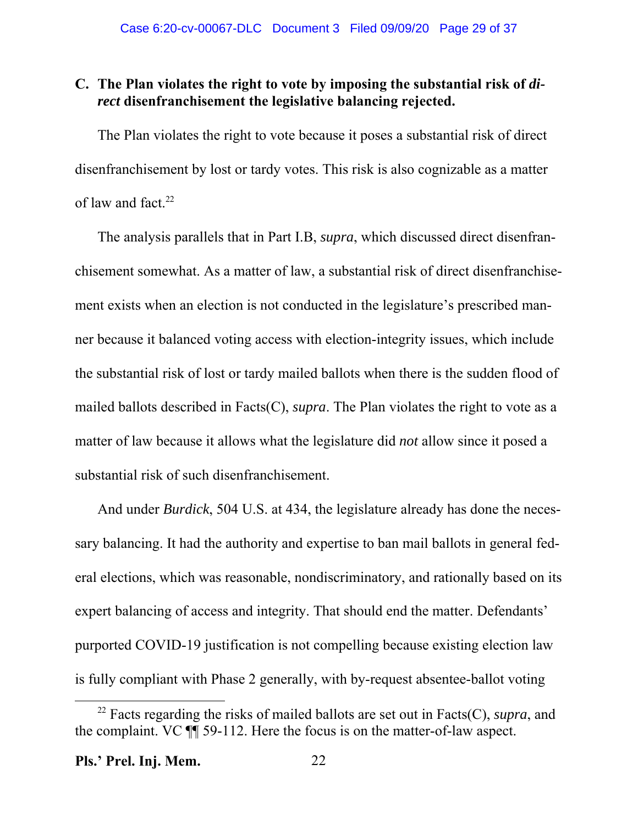## **C. The Plan violates the right to vote by imposing the substantial risk of** *direct* **disenfranchisement the legislative balancing rejected.**

The Plan violates the right to vote because it poses a substantial risk of direct disenfranchisement by lost or tardy votes. This risk is also cognizable as a matter of law and fact. $22$ 

The analysis parallels that in Part I.B, *supra*, which discussed direct disenfranchisement somewhat. As a matter of law, a substantial risk of direct disenfranchisement exists when an election is not conducted in the legislature's prescribed manner because it balanced voting access with election-integrity issues, which include the substantial risk of lost or tardy mailed ballots when there is the sudden flood of mailed ballots described in Facts(C), *supra*. The Plan violates the right to vote as a matter of law because it allows what the legislature did *not* allow since it posed a substantial risk of such disenfranchisement.

And under *Burdick*, 504 U.S. at 434, the legislature already has done the necessary balancing. It had the authority and expertise to ban mail ballots in general federal elections, which was reasonable, nondiscriminatory, and rationally based on its expert balancing of access and integrity. That should end the matter. Defendants' purported COVID-19 justification is not compelling because existing election law is fully compliant with Phase 2 generally, with by-request absentee-ballot voting

<sup>22</sup> Facts regarding the risks of mailed ballots are set out in Facts(C), *supra*, and the complaint. VC ¶¶ 59-112. Here the focus is on the matter-of-law aspect.

**Pls.' Prel. Inj. Mem.** 22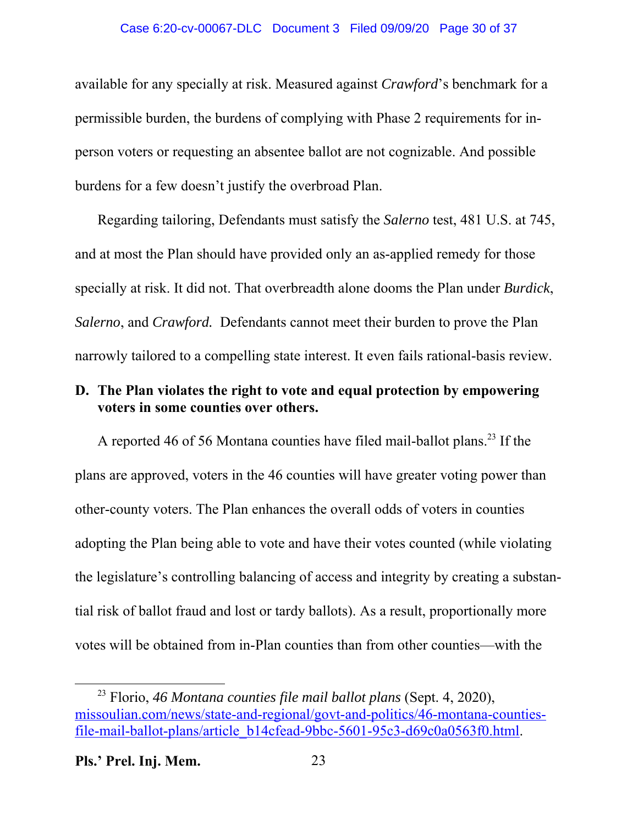### Case 6:20-cv-00067-DLC Document 3 Filed 09/09/20 Page 30 of 37

available for any specially at risk. Measured against *Crawford*'s benchmark for a permissible burden, the burdens of complying with Phase 2 requirements for inperson voters or requesting an absentee ballot are not cognizable. And possible burdens for a few doesn't justify the overbroad Plan.

Regarding tailoring, Defendants must satisfy the *Salerno* test, 481 U.S. at 745, and at most the Plan should have provided only an as-applied remedy for those specially at risk. It did not. That overbreadth alone dooms the Plan under *Burdick*, *Salerno*, and *Crawford.* Defendants cannot meet their burden to prove the Plan narrowly tailored to a compelling state interest. It even fails rational-basis review.

## **D. The Plan violates the right to vote and equal protection by empowering voters in some counties over others.**

A reported 46 of 56 Montana counties have filed mail-ballot plans.<sup>23</sup> If the plans are approved, voters in the 46 counties will have greater voting power than other-county voters. The Plan enhances the overall odds of voters in counties adopting the Plan being able to vote and have their votes counted (while violating the legislature's controlling balancing of access and integrity by creating a substantial risk of ballot fraud and lost or tardy ballots). As a result, proportionally more votes will be obtained from in-Plan counties than from other counties—with the

<sup>23</sup> Florio, *46 Montana counties file mail ballot plans* (Sept. 4, 2020), missoulian.com/news/state-and-regional/govt-and-politics/46-montana-countiesfile-mail-ballot-plans/article\_b14cfead-9bbc-5601-95c3-d69c0a0563f0.html.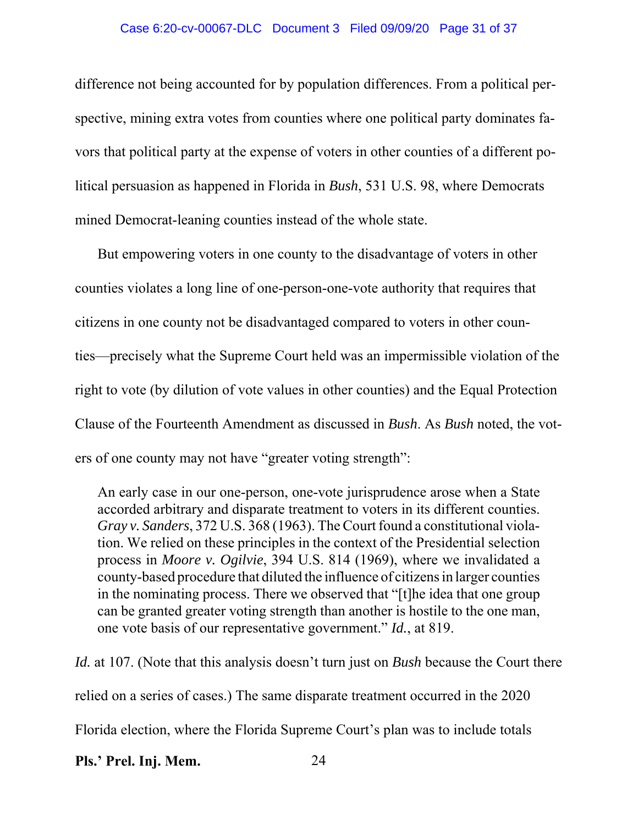### Case 6:20-cv-00067-DLC Document 3 Filed 09/09/20 Page 31 of 37

difference not being accounted for by population differences. From a political perspective, mining extra votes from counties where one political party dominates favors that political party at the expense of voters in other counties of a different political persuasion as happened in Florida in *Bush*, 531 U.S. 98, where Democrats mined Democrat-leaning counties instead of the whole state.

But empowering voters in one county to the disadvantage of voters in other counties violates a long line of one-person-one-vote authority that requires that citizens in one county not be disadvantaged compared to voters in other counties—precisely what the Supreme Court held was an impermissible violation of the right to vote (by dilution of vote values in other counties) and the Equal Protection Clause of the Fourteenth Amendment as discussed in *Bush*. As *Bush* noted, the voters of one county may not have "greater voting strength":

An early case in our one-person, one-vote jurisprudence arose when a State accorded arbitrary and disparate treatment to voters in its different counties. *Gray v. Sanders*, 372 U.S. 368 (1963). The Court found a constitutional violation. We relied on these principles in the context of the Presidential selection process in *Moore v. Ogilvie*, 394 U.S. 814 (1969), where we invalidated a county-based procedure that diluted the influence of citizens in larger counties in the nominating process. There we observed that "[t]he idea that one group can be granted greater voting strength than another is hostile to the one man, one vote basis of our representative government." *Id.*, at 819.

*Id.* at 107. (Note that this analysis doesn't turn just on *Bush* because the Court there relied on a series of cases.) The same disparate treatment occurred in the 2020 Florida election, where the Florida Supreme Court's plan was to include totals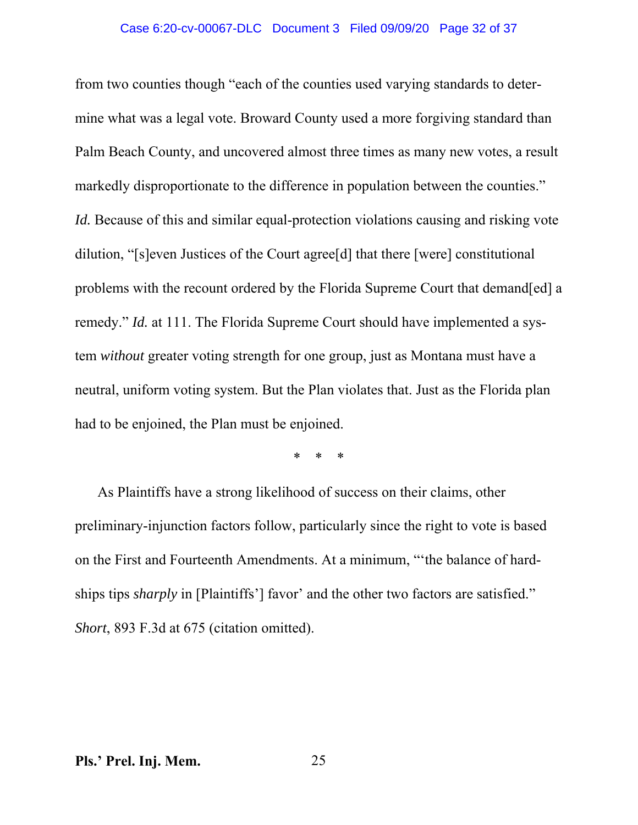#### Case 6:20-cv-00067-DLC Document 3 Filed 09/09/20 Page 32 of 37

from two counties though "each of the counties used varying standards to determine what was a legal vote. Broward County used a more forgiving standard than Palm Beach County, and uncovered almost three times as many new votes, a result markedly disproportionate to the difference in population between the counties." *Id.* Because of this and similar equal-protection violations causing and risking vote dilution, "[s]even Justices of the Court agree[d] that there [were] constitutional problems with the recount ordered by the Florida Supreme Court that demand[ed] a remedy." *Id.* at 111. The Florida Supreme Court should have implemented a system *without* greater voting strength for one group, just as Montana must have a neutral, uniform voting system. But the Plan violates that. Just as the Florida plan had to be enjoined, the Plan must be enjoined.

\* \* \*

As Plaintiffs have a strong likelihood of success on their claims, other preliminary-injunction factors follow, particularly since the right to vote is based on the First and Fourteenth Amendments. At a minimum, "'the balance of hardships tips *sharply* in [Plaintiffs'] favor' and the other two factors are satisfied." *Short*, 893 F.3d at 675 (citation omitted).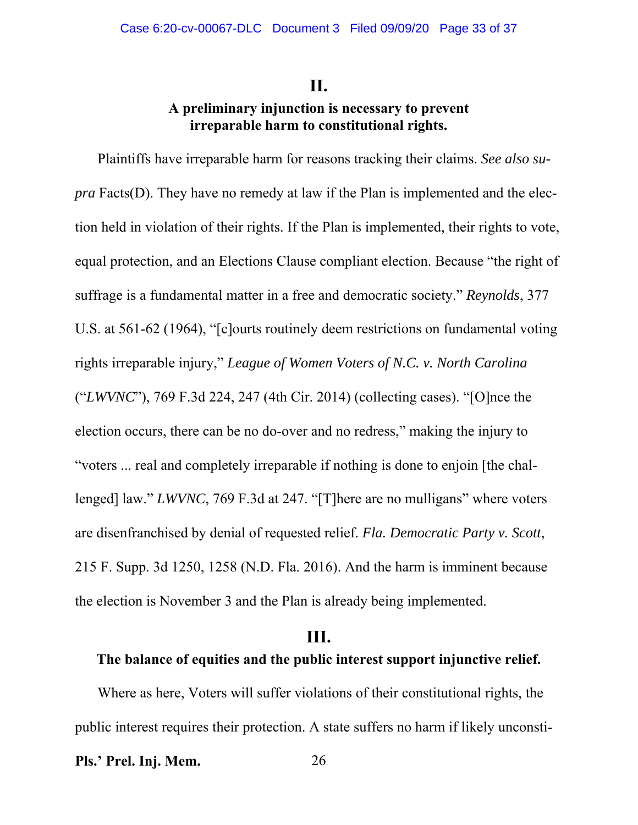### **II.**

## **A preliminary injunction is necessary to prevent irreparable harm to constitutional rights.**

Plaintiffs have irreparable harm for reasons tracking their claims. *See also supra* Facts(D). They have no remedy at law if the Plan is implemented and the election held in violation of their rights. If the Plan is implemented, their rights to vote, equal protection, and an Elections Clause compliant election. Because "the right of suffrage is a fundamental matter in a free and democratic society." *Reynolds*, 377 U.S. at 561-62 (1964), "[c]ourts routinely deem restrictions on fundamental voting rights irreparable injury," *League of Women Voters of N.C. v. North Carolina* ("*LWVNC*"), 769 F.3d 224, 247 (4th Cir. 2014) (collecting cases). "[O]nce the election occurs, there can be no do-over and no redress," making the injury to "voters ... real and completely irreparable if nothing is done to enjoin [the challenged] law." *LWVNC*, 769 F.3d at 247. "[T]here are no mulligans" where voters are disenfranchised by denial of requested relief. *Fla. Democratic Party v. Scott*, 215 F. Supp. 3d 1250, 1258 (N.D. Fla. 2016). And the harm is imminent because the election is November 3 and the Plan is already being implemented.

### **III.**

### **The balance of equities and the public interest support injunctive relief.**

Where as here, Voters will suffer violations of their constitutional rights, the public interest requires their protection. A state suffers no harm if likely unconsti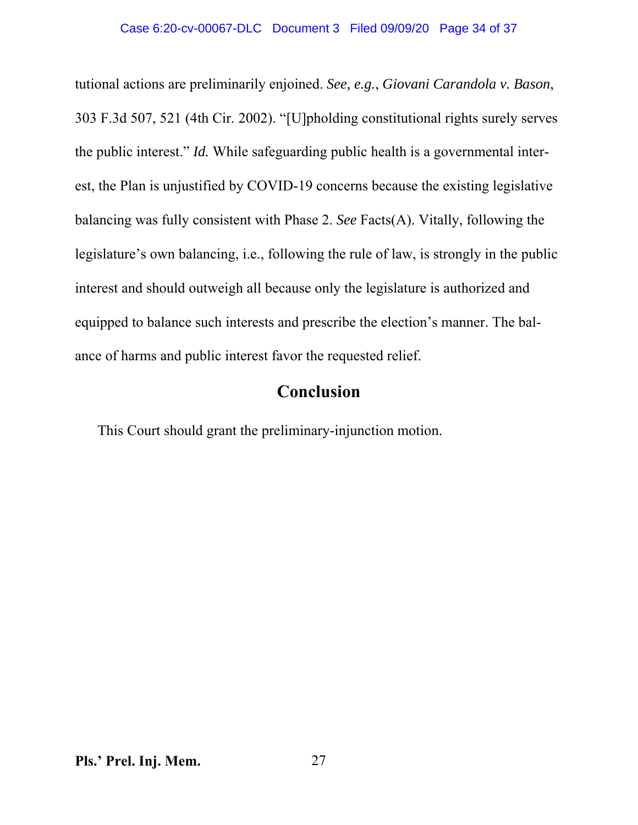tutional actions are preliminarily enjoined. *See, e.g.*, *Giovani Carandola v. Bason*, 303 F.3d 507, 521 (4th Cir. 2002). "[U]pholding constitutional rights surely serves the public interest." *Id.* While safeguarding public health is a governmental interest, the Plan is unjustified by COVID-19 concerns because the existing legislative balancing was fully consistent with Phase 2. *See* Facts(A). Vitally, following the legislature's own balancing, i.e., following the rule of law, is strongly in the public interest and should outweigh all because only the legislature is authorized and equipped to balance such interests and prescribe the election's manner. The balance of harms and public interest favor the requested relief.

## **Conclusion**

This Court should grant the preliminary-injunction motion.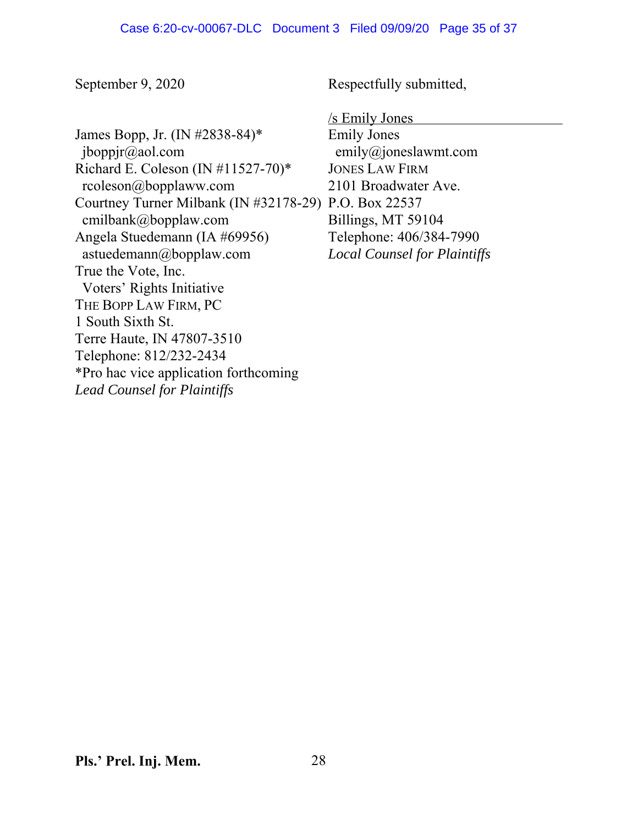September 9, 2020

James Bopp, Jr. (IN #2838-84)\* jboppjr@aol.com Richard E. Coleson (IN #11527-70)\* rcoleson@bopplaww.com Courtney Turner Milbank (IN #32178-29) P.O. Box 22537 cmilbank@bopplaw.com Angela Stuedemann (IA #69956) astuedemann@bopplaw.com True the Vote, Inc. Voters' Rights Initiative THE BOPP LAW FIRM, PC 1 South Sixth St. Terre Haute, IN 47807-3510 Telephone: 812/232-2434 \*Pro hac vice application forthcoming *Lead Counsel for Plaintiffs*

Respectfully submitted,

/s Emily Jones

Emily Jones emily@joneslawmt.com JONES LAW FIRM 2101 Broadwater Ave. Billings, MT 59104 Telephone: 406/384-7990 *Local Counsel for Plaintiffs*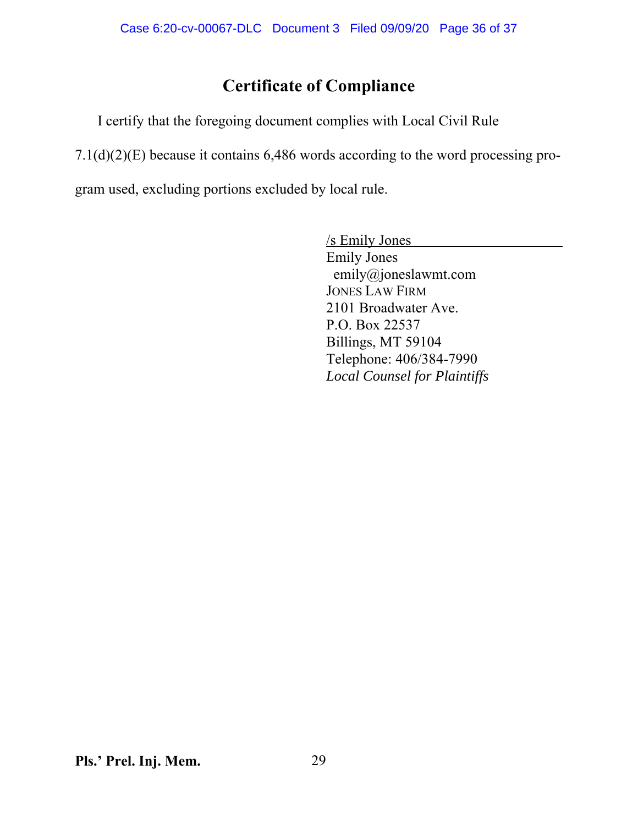# **Certificate of Compliance**

I certify that the foregoing document complies with Local Civil Rule

7.1(d)(2)(E) because it contains 6,486 words according to the word processing pro-

gram used, excluding portions excluded by local rule.

/s Emily Jones Emily Jones emily@joneslawmt.com JONES LAW FIRM 2101 Broadwater Ave. P.O. Box 22537 Billings, MT 59104 Telephone: 406/384-7990 *Local Counsel for Plaintiffs*